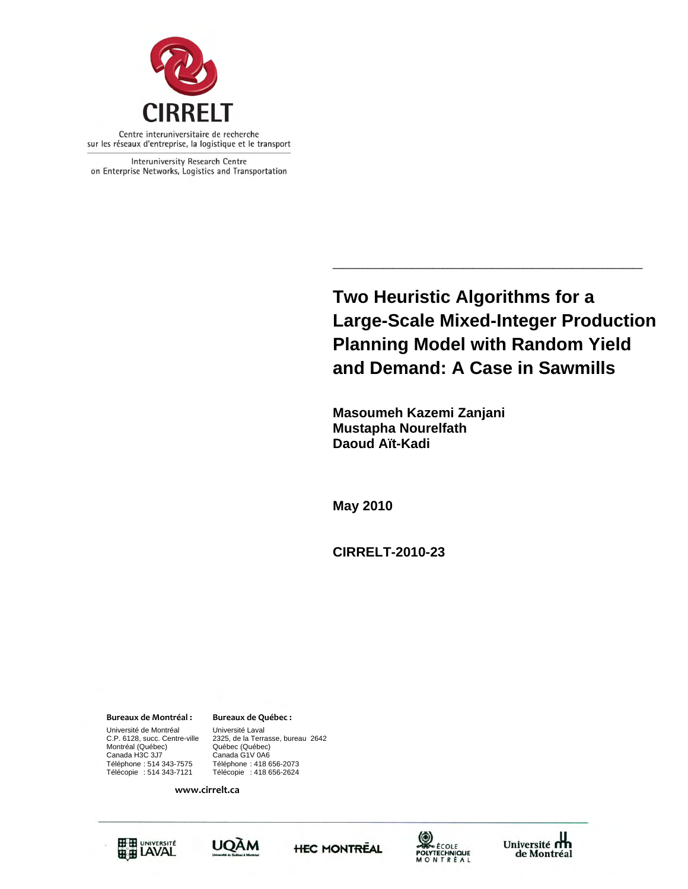

Interuniversity Research Centre on Enterprise Networks, Logistics and Transportation

> **Two Heuristic Algorithms for a Large-Scale Mixed-Integer Production Planning Model with Random Yield and Demand: A Case in Sawmills**

**\_\_\_\_\_\_\_\_\_\_\_\_\_\_\_\_\_\_\_\_\_\_\_\_\_\_\_\_\_\_\_** 

 **Masoumeh Kazemi Zanjani Mustapha Nourelfath Daoud Aït-Kadi** 

**May 2010** 

**CIRRELT-2010-23** 

Canada H3C 3J7 Canada G1V 0A6 **Bureaux de Montréal : Bureaux de Québec :** Université de Montréal [Université Laval C.P. 6128, succ. Centre-ville [2325, de la Terra Montréal (Québec)<br>Canada H3C 3J7

2325, de la Terrasse, bureau 2642<br>Québec (Québec) Téléphone : 514 343-7575 Téléphone : 418 656-2073 Télécopie : 418 656-2624

**www.cirrelt.ca**









Université<br>de Montréal de Montréal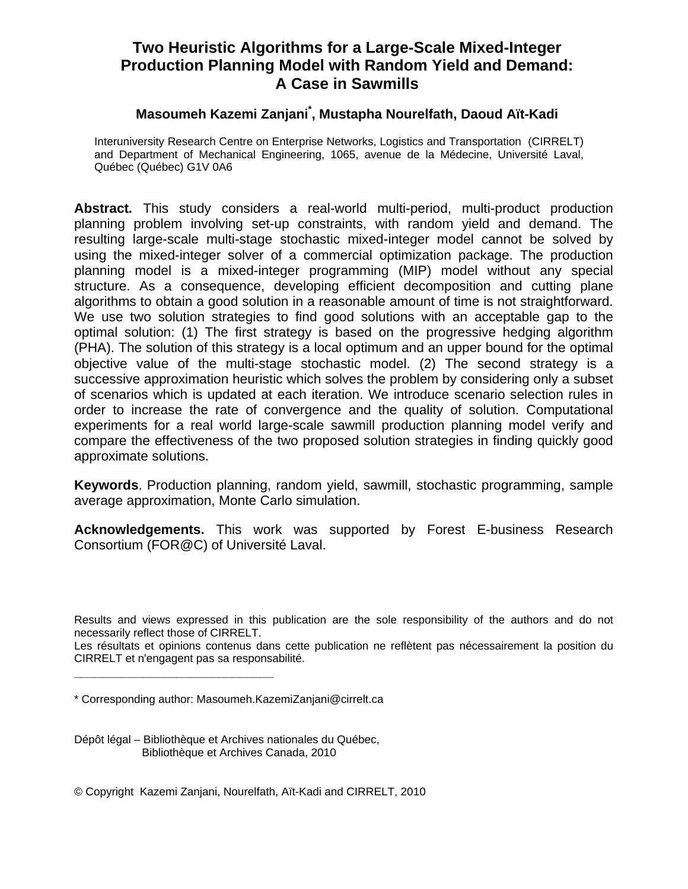# **Masoumeh Kazemi Zanjani\* , Mustapha Nourelfath, Daoud Aït-Kadi**

Interuniversity Research Centre on Enterprise Networks, Logistics and Transportation (CIRRELT) and Department of Mechanical Engineering, 1065, avenue de la Médecine, Université Laval, Québec (Québec) G1V 0A6

**Abstract***.* This study considers a real-world multi-period, multi-product production planning problem involving set-up constraints, with random yield and demand. The resulting large-scale multi-stage stochastic mixed-integer model cannot be solved by using the mixed-integer solver of a commercial optimization package. The production planning model is a mixed-integer programming (MIP) model without any special structure. As a consequence, developing efficient decomposition and cutting plane algorithms to obtain a good solution in a reasonable amount of time is not straightforward. We use two solution strategies to find good solutions with an acceptable gap to the optimal solution: (1) The first strategy is based on the progressive hedging algorithm (PHA). The solution of this strategy is a local optimum and an upper bound for the optimal objective value of the multi-stage stochastic model. (2) The second strategy is a successive approximation heuristic which solves the problem by considering only a subset of scenarios which is updated at each iteration. We introduce scenario selection rules in order to increase the rate of convergence and the quality of solution. Computational experiments for a real world large-scale sawmill production planning model verify and compare the effectiveness of the two proposed solution strategies in finding quickly good approximate solutions.

**Keywords**. Production planning, random yield, sawmill, stochastic programming, sample average approximation, Monte Carlo simulation.

**Acknowledgements.** This work was supported by Forest E-business Research Consortium (FOR@C) of Université Laval.

Les résultats et opinions contenus dans cette publication ne reflètent pas nécessairement la position du CIRRELT et n'engagent pas sa responsabilité.

**\_\_\_\_\_\_\_\_\_\_\_\_\_\_\_\_\_\_\_\_\_\_\_\_\_\_\_\_\_**

Dépôt légal – Bibliothèque et Archives nationales du Québec, Bibliothèque et Archives Canada, 2010

© Copyright Kazemi Zanjani, Nourelfath, Aït-Kadi and CIRRELT, 2010

Results and views expressed in this publication are the sole responsibility of the authors and do not necessarily reflect those of CIRRELT.

<sup>\*</sup> Corresponding author: Masoumeh.KazemiZanjani@cirrelt.ca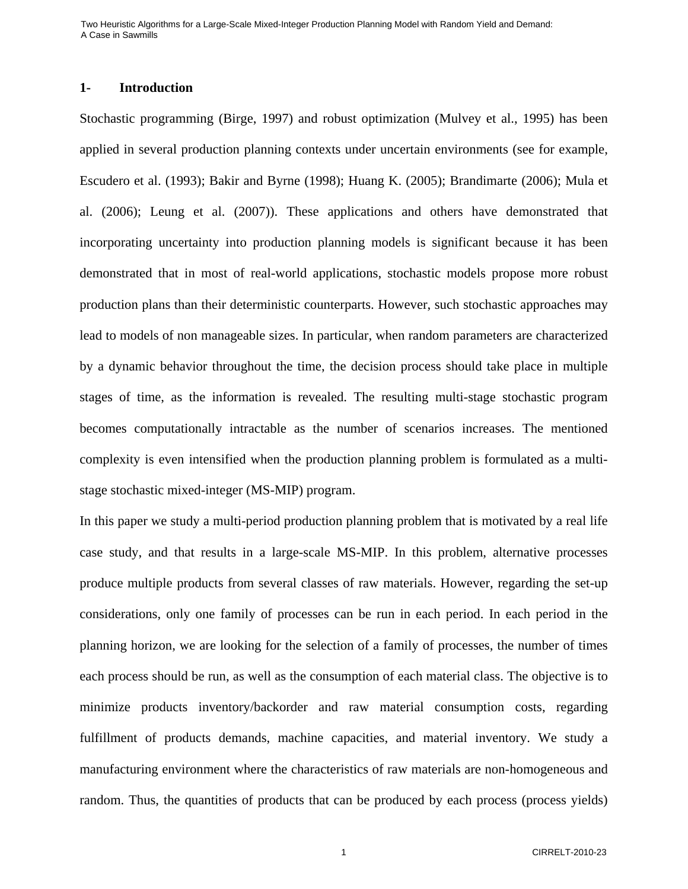## **1- Introduction**

Stochastic programming (Birge, 1997) and robust optimization (Mulvey et al., 1995) has been applied in several production planning contexts under uncertain environments (see for example, Escudero et al. (1993); Bakir and Byrne (1998); Huang K. (2005); Brandimarte (2006); Mula et al. (2006); Leung et al. (2007)). These applications and others have demonstrated that incorporating uncertainty into production planning models is significant because it has been demonstrated that in most of real-world applications, stochastic models propose more robust production plans than their deterministic counterparts. However, such stochastic approaches may lead to models of non manageable sizes. In particular, when random parameters are characterized by a dynamic behavior throughout the time, the decision process should take place in multiple stages of time, as the information is revealed. The resulting multi-stage stochastic program becomes computationally intractable as the number of scenarios increases. The mentioned complexity is even intensified when the production planning problem is formulated as a multistage stochastic mixed-integer (MS-MIP) program.

In this paper we study a multi-period production planning problem that is motivated by a real life case study, and that results in a large-scale MS-MIP. In this problem, alternative processes produce multiple products from several classes of raw materials. However, regarding the set-up considerations, only one family of processes can be run in each period. In each period in the planning horizon, we are looking for the selection of a family of processes, the number of times each process should be run, as well as the consumption of each material class. The objective is to minimize products inventory/backorder and raw material consumption costs, regarding fulfillment of products demands, machine capacities, and material inventory. We study a manufacturing environment where the characteristics of raw materials are non-homogeneous and random. Thus, the quantities of products that can be produced by each process (process yields)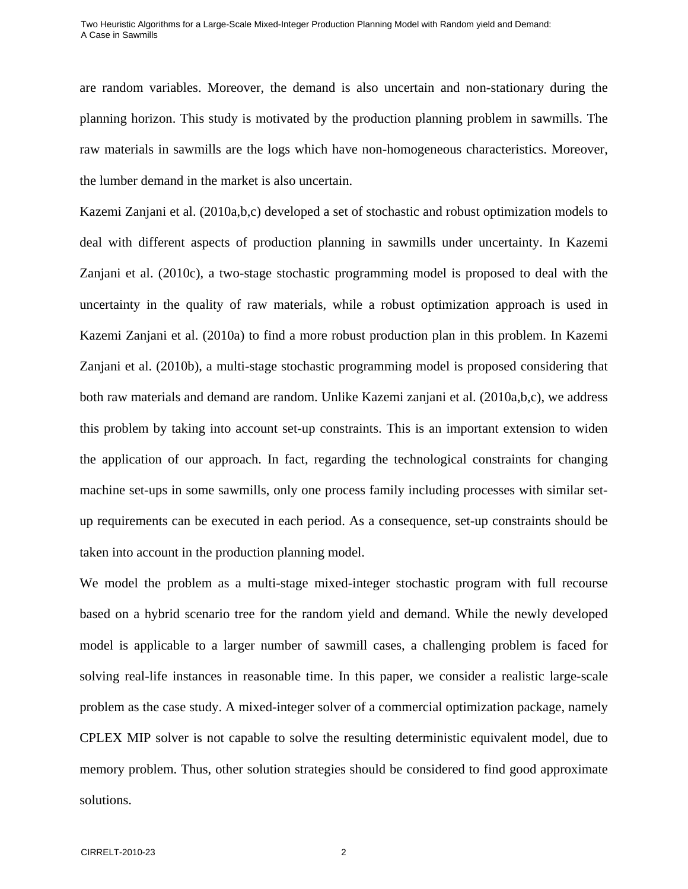are random variables. Moreover, the demand is also uncertain and non-stationary during the planning horizon. This study is motivated by the production planning problem in sawmills. The raw materials in sawmills are the logs which have non-homogeneous characteristics. Moreover, the lumber demand in the market is also uncertain.

Kazemi Zanjani et al. (2010a,b,c) developed a set of stochastic and robust optimization models to deal with different aspects of production planning in sawmills under uncertainty. In Kazemi Zanjani et al. (2010c), a two-stage stochastic programming model is proposed to deal with the uncertainty in the quality of raw materials, while a robust optimization approach is used in Kazemi Zanjani et al. (2010a) to find a more robust production plan in this problem. In Kazemi Zanjani et al. (2010b), a multi-stage stochastic programming model is proposed considering that both raw materials and demand are random. Unlike Kazemi zanjani et al. (2010a,b,c), we address this problem by taking into account set-up constraints. This is an important extension to widen the application of our approach. In fact, regarding the technological constraints for changing machine set-ups in some sawmills, only one process family including processes with similar setup requirements can be executed in each period. As a consequence, set-up constraints should be taken into account in the production planning model.

We model the problem as a multi-stage mixed-integer stochastic program with full recourse based on a hybrid scenario tree for the random yield and demand. While the newly developed model is applicable to a larger number of sawmill cases, a challenging problem is faced for solving real-life instances in reasonable time. In this paper, we consider a realistic large-scale problem as the case study. A mixed-integer solver of a commercial optimization package, namely CPLEX MIP solver is not capable to solve the resulting deterministic equivalent model, due to memory problem. Thus, other solution strategies should be considered to find good approximate solutions.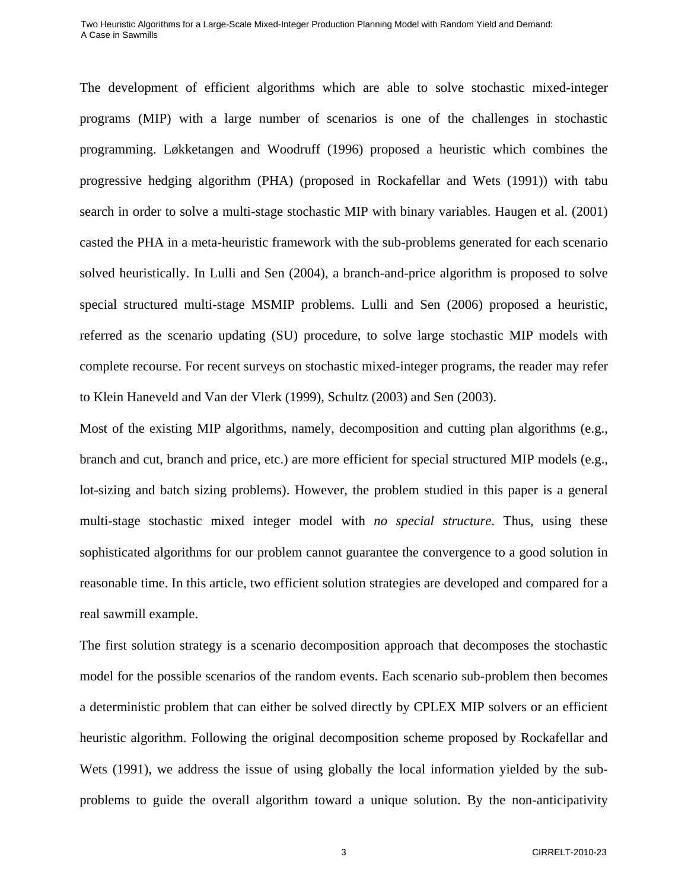The development of efficient algorithms which are able to solve stochastic mixed-integer programs (MIP) with a large number of scenarios is one of the challenges in stochastic programming. Løkketangen and Woodruff (1996) proposed a heuristic which combines the progressive hedging algorithm (PHA) (proposed in Rockafellar and Wets (1991)) with tabu search in order to solve a multi-stage stochastic MIP with binary variables. Haugen et al. (2001) casted the PHA in a meta-heuristic framework with the sub-problems generated for each scenario solved heuristically. In Lulli and Sen (2004), a branch-and-price algorithm is proposed to solve special structured multi-stage MSMIP problems. Lulli and Sen (2006) proposed a heuristic, referred as the scenario updating (SU) procedure, to solve large stochastic MIP models with complete recourse. For recent surveys on stochastic mixed-integer programs, the reader may refer to Klein Haneveld and Van der Vlerk (1999), Schultz (2003) and Sen (2003).

Most of the existing MIP algorithms, namely, decomposition and cutting plan algorithms (e.g., branch and cut, branch and price, etc.) are more efficient for special structured MIP models (e.g., lot-sizing and batch sizing problems). However, the problem studied in this paper is a general multi-stage stochastic mixed integer model with *no special structure*. Thus, using these sophisticated algorithms for our problem cannot guarantee the convergence to a good solution in reasonable time. In this article, two efficient solution strategies are developed and compared for a real sawmill example.

The first solution strategy is a scenario decomposition approach that decomposes the stochastic model for the possible scenarios of the random events. Each scenario sub-problem then becomes a deterministic problem that can either be solved directly by CPLEX MIP solvers or an efficient heuristic algorithm. Following the original decomposition scheme proposed by Rockafellar and Wets (1991), we address the issue of using globally the local information yielded by the subproblems to guide the overall algorithm toward a unique solution. By the non-anticipativity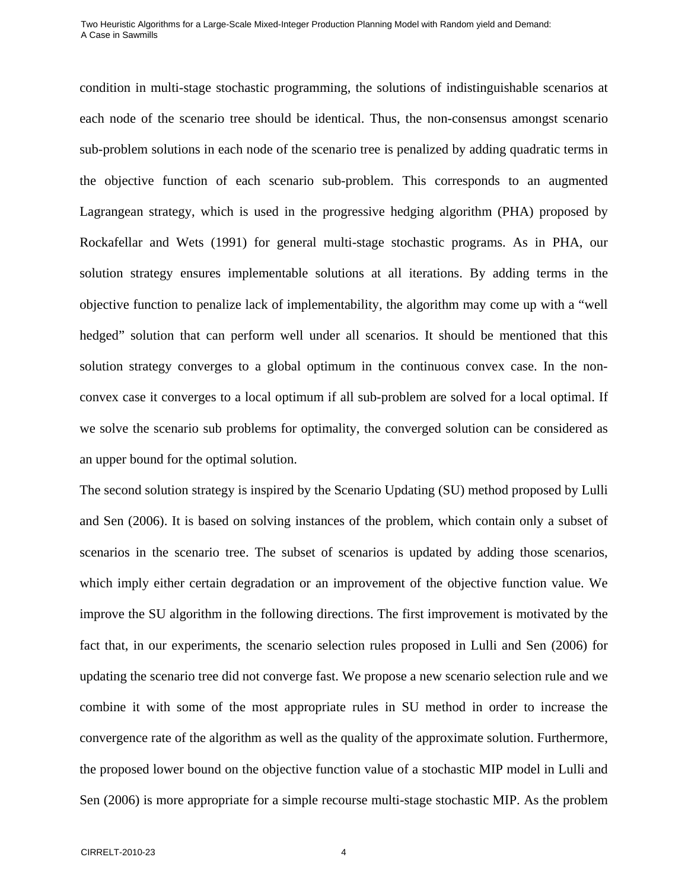condition in multi-stage stochastic programming, the solutions of indistinguishable scenarios at each node of the scenario tree should be identical. Thus, the non-consensus amongst scenario sub-problem solutions in each node of the scenario tree is penalized by adding quadratic terms in the objective function of each scenario sub-problem. This corresponds to an augmented Lagrangean strategy, which is used in the progressive hedging algorithm (PHA) proposed by Rockafellar and Wets (1991) for general multi-stage stochastic programs. As in PHA, our solution strategy ensures implementable solutions at all iterations. By adding terms in the objective function to penalize lack of implementability, the algorithm may come up with a "well hedged" solution that can perform well under all scenarios. It should be mentioned that this solution strategy converges to a global optimum in the continuous convex case. In the nonconvex case it converges to a local optimum if all sub-problem are solved for a local optimal. If we solve the scenario sub problems for optimality, the converged solution can be considered as an upper bound for the optimal solution.

The second solution strategy is inspired by the Scenario Updating (SU) method proposed by Lulli and Sen (2006). It is based on solving instances of the problem, which contain only a subset of scenarios in the scenario tree. The subset of scenarios is updated by adding those scenarios, which imply either certain degradation or an improvement of the objective function value. We improve the SU algorithm in the following directions. The first improvement is motivated by the fact that, in our experiments, the scenario selection rules proposed in Lulli and Sen (2006) for updating the scenario tree did not converge fast. We propose a new scenario selection rule and we combine it with some of the most appropriate rules in SU method in order to increase the convergence rate of the algorithm as well as the quality of the approximate solution. Furthermore, the proposed lower bound on the objective function value of a stochastic MIP model in Lulli and Sen (2006) is more appropriate for a simple recourse multi-stage stochastic MIP. As the problem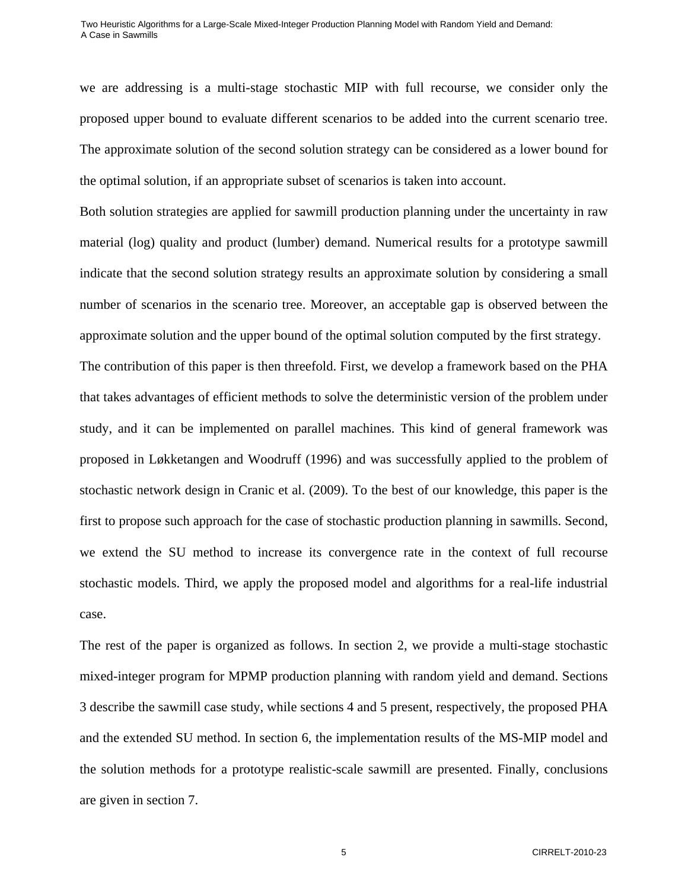we are addressing is a multi-stage stochastic MIP with full recourse, we consider only the proposed upper bound to evaluate different scenarios to be added into the current scenario tree. The approximate solution of the second solution strategy can be considered as a lower bound for the optimal solution, if an appropriate subset of scenarios is taken into account.

Both solution strategies are applied for sawmill production planning under the uncertainty in raw material (log) quality and product (lumber) demand. Numerical results for a prototype sawmill indicate that the second solution strategy results an approximate solution by considering a small number of scenarios in the scenario tree. Moreover, an acceptable gap is observed between the approximate solution and the upper bound of the optimal solution computed by the first strategy.

The contribution of this paper is then threefold. First, we develop a framework based on the PHA that takes advantages of efficient methods to solve the deterministic version of the problem under study, and it can be implemented on parallel machines. This kind of general framework was proposed in Løkketangen and Woodruff (1996) and was successfully applied to the problem of stochastic network design in Cranic et al. (2009). To the best of our knowledge, this paper is the first to propose such approach for the case of stochastic production planning in sawmills. Second, we extend the SU method to increase its convergence rate in the context of full recourse stochastic models. Third, we apply the proposed model and algorithms for a real-life industrial case.

The rest of the paper is organized as follows. In section 2, we provide a multi-stage stochastic mixed-integer program for MPMP production planning with random yield and demand. Sections 3 describe the sawmill case study, while sections 4 and 5 present, respectively, the proposed PHA and the extended SU method. In section 6, the implementation results of the MS-MIP model and the solution methods for a prototype realistic-scale sawmill are presented. Finally, conclusions are given in section 7.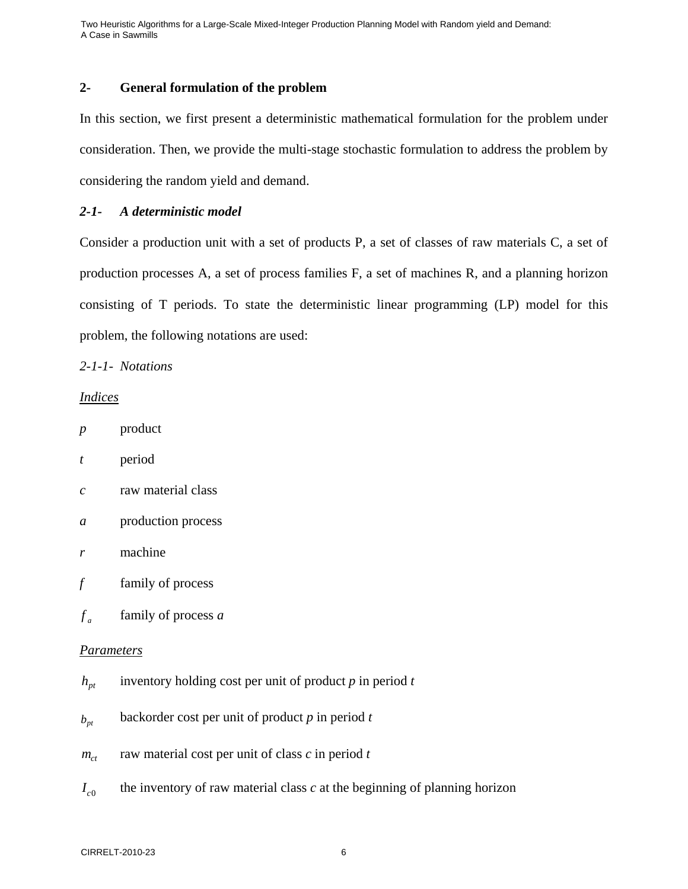## **2- General formulation of the problem**

In this section, we first present a deterministic mathematical formulation for the problem under consideration. Then, we provide the multi-stage stochastic formulation to address the problem by considering the random yield and demand.

## *2-1- A deterministic model*

Consider a production unit with a set of products P, a set of classes of raw materials C, a set of production processes A, a set of process families F, a set of machines R, and a planning horizon consisting of T periods. To state the deterministic linear programming (LP) model for this problem, the following notations are used:

*2-1-1- Notations* 

### *Indices*

| p | product |
|---|---------|
|---|---------|

- *t* period
- *c* raw material class
- *a* production process
- *r* machine
- *f* family of process
- $f_a$  family of process *a*

## *Parameters*

- $h_{pt}$  inventory holding cost per unit of product *p* in period *t*
- $b_{nt}$  backorder cost per unit of product *p* in period *t*
- $m_{ct}$  raw material cost per unit of class *c* in period *t*
- $I_{c0}$  the inventory of raw material class *c* at the beginning of planning horizon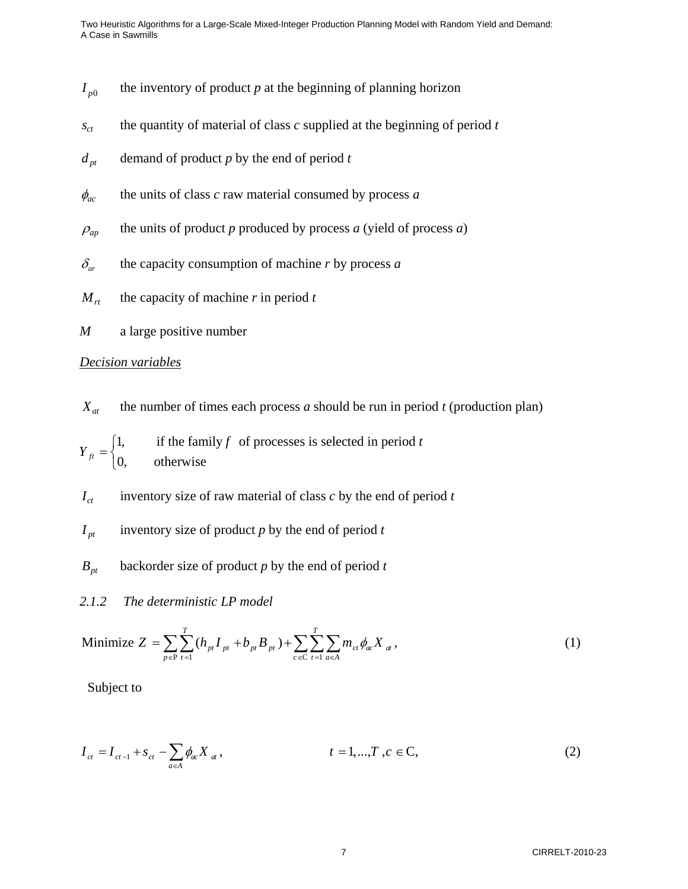- $I_{p0}$  the inventory of product *p* at the beginning of planning horizon
- $s_{ct}$  the quantity of material of class *c* supplied at the beginning of period *t*
- $d_{pt}$  demand of product *p* by the end of period *t*
- $\phi_{ac}$  the units of class *c* raw material consumed by process *a*
- $\rho_{ap}$  the units of product *p* produced by process *a* (yield of process *a*)
- $\delta_{ar}$  the capacity consumption of machine *r* by process *a*
- $M_{rt}$  the capacity of machine *r* in period *t*
- *M* a large positive number

#### *Decision variables*

 $X_{at}$  the number of times each process *a* should be run in period *t* (production plan)

1, if the family  $f$  of processes is selected in period  $t$ 0, otherwise *ft*  $Y_{ft} = \begin{cases}$  $\overline{a}$ 

 $I_{ct}$  inventory size of raw material of class *c* by the end of period *t* 

- $I_{pt}$  inventory size of product *p* by the end of period *t*
- *Bpt* backorder size of product *p* by the end of period *t*

## *2.1.2 The deterministic LP model*

Minimize 
$$
Z = \sum_{p \in P} \sum_{t=1}^{T} (h_{pt} I_{pt} + b_{pt} B_{pt}) + \sum_{c \in C} \sum_{t=1}^{T} \sum_{a \in A} m_{ct} \phi_{ac} X_{at}
$$
, (1)

Subject to

$$
I_{ct} = I_{ct-1} + s_{ct} - \sum_{a \in A} \phi_{ac} X_{at}, \qquad t = 1,...,T, c \in C,
$$
 (2)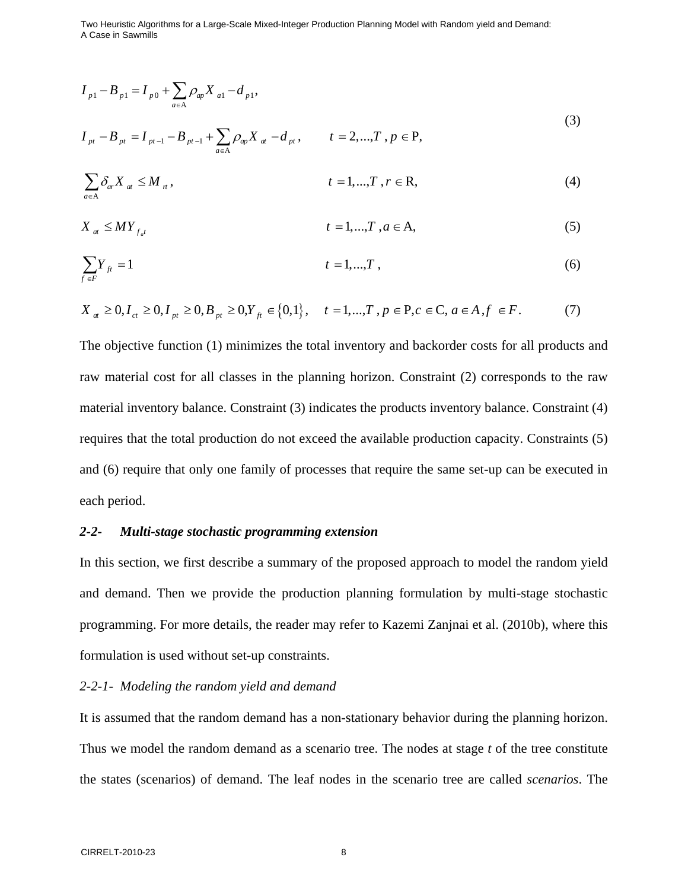$$
I_{p1} - B_{p1} = I_{p0} + \sum_{a \in A} \rho_{ap} X_{a1} - d_{p1},
$$
  
\n
$$
I_{pt} - B_{pt} = I_{pt-1} - B_{pt-1} + \sum \rho_{ap} X_{at} - d_{pt}, \qquad t = 2,...,T, p \in P,
$$
\n(3)

$$
\sum_{a \in A} \delta_{ar} X_a \le M_n, \qquad t = 1, \dots, T, r \in R,
$$
\n(4)

$$
X_{a} \leq MY_{f_{a'}} \qquad \qquad t = 1, \dots, T, a \in A,\tag{5}
$$

$$
\sum_{f \in F} Y_{ft} = 1 \qquad \qquad t = 1, ..., T \tag{6}
$$

$$
X_{a} \ge 0, I_{ct} \ge 0, I_{pt} \ge 0, B_{pt} \ge 0, Y_{ft} \in \{0, 1\}, \quad t = 1, ..., T, p \in P, c \in C, a \in A, f \in F.
$$
 (7)

The objective function (1) minimizes the total inventory and backorder costs for all products and raw material cost for all classes in the planning horizon. Constraint (2) corresponds to the raw material inventory balance. Constraint (3) indicates the products inventory balance. Constraint (4) requires that the total production do not exceed the available production capacity. Constraints (5) and (6) require that only one family of processes that require the same set-up can be executed in each period.

#### *2-2- Multi-stage stochastic programming extension*

A

*a*

∈

In this section, we first describe a summary of the proposed approach to model the random yield and demand. Then we provide the production planning formulation by multi-stage stochastic programming. For more details, the reader may refer to Kazemi Zanjnai et al. (2010b), where this formulation is used without set-up constraints.

## *2-2-1- Modeling the random yield and demand*

It is assumed that the random demand has a non-stationary behavior during the planning horizon. Thus we model the random demand as a scenario tree. The nodes at stage *t* of the tree constitute the states (scenarios) of demand. The leaf nodes in the scenario tree are called *scenarios*. The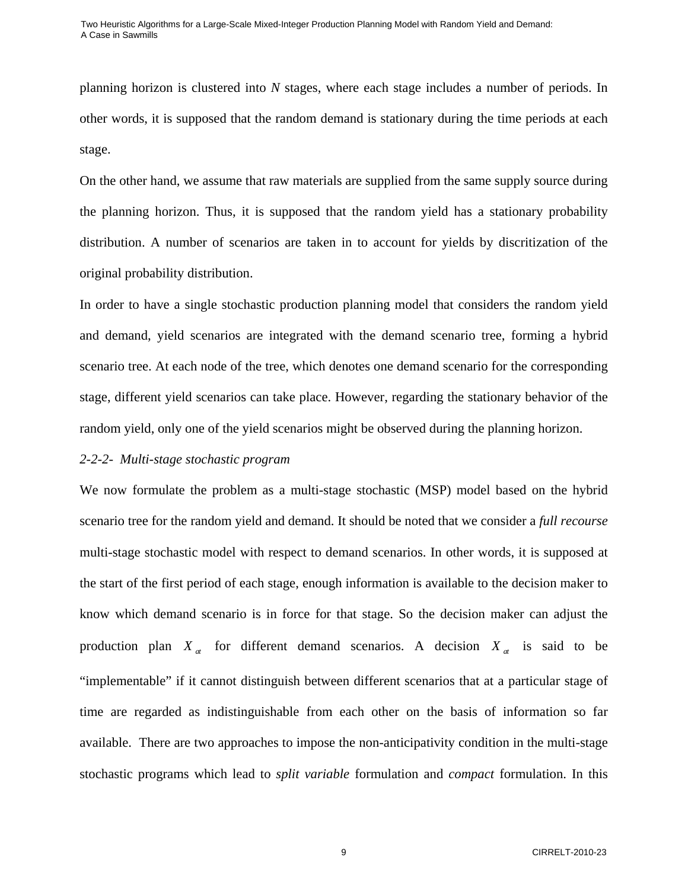planning horizon is clustered into *N* stages, where each stage includes a number of periods. In other words, it is supposed that the random demand is stationary during the time periods at each stage.

On the other hand, we assume that raw materials are supplied from the same supply source during the planning horizon. Thus, it is supposed that the random yield has a stationary probability distribution. A number of scenarios are taken in to account for yields by discritization of the original probability distribution.

In order to have a single stochastic production planning model that considers the random yield and demand, yield scenarios are integrated with the demand scenario tree, forming a hybrid scenario tree. At each node of the tree, which denotes one demand scenario for the corresponding stage, different yield scenarios can take place. However, regarding the stationary behavior of the random yield, only one of the yield scenarios might be observed during the planning horizon.

### *2-2-2- Multi-stage stochastic program*

We now formulate the problem as a multi-stage stochastic (MSP) model based on the hybrid scenario tree for the random yield and demand. It should be noted that we consider a *full recourse* multi-stage stochastic model with respect to demand scenarios. In other words, it is supposed at the start of the first period of each stage, enough information is available to the decision maker to know which demand scenario is in force for that stage. So the decision maker can adjust the production plan  $X_a$  for different demand scenarios. A decision  $X_a$  is said to be "implementable" if it cannot distinguish between different scenarios that at a particular stage of time are regarded as indistinguishable from each other on the basis of information so far available. There are two approaches to impose the non-anticipativity condition in the multi-stage stochastic programs which lead to *split variable* formulation and *compact* formulation. In this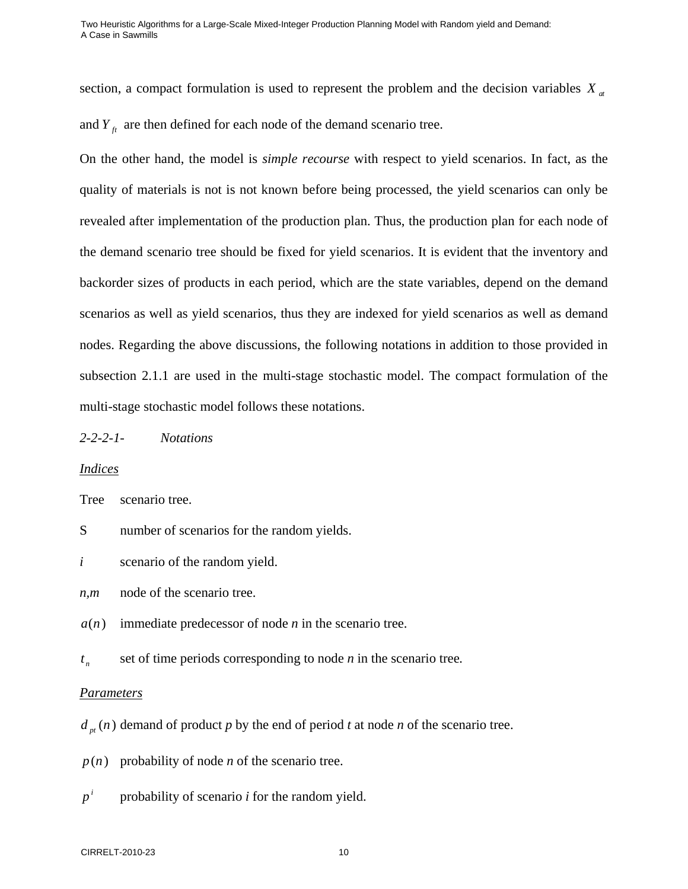section, a compact formulation is used to represent the problem and the decision variables  $X_{at}$ and  $Y_{\hat{t}}$  are then defined for each node of the demand scenario tree.

On the other hand, the model is *simple recourse* with respect to yield scenarios. In fact, as the quality of materials is not is not known before being processed, the yield scenarios can only be revealed after implementation of the production plan. Thus, the production plan for each node of the demand scenario tree should be fixed for yield scenarios. It is evident that the inventory and backorder sizes of products in each period, which are the state variables, depend on the demand scenarios as well as yield scenarios, thus they are indexed for yield scenarios as well as demand nodes. Regarding the above discussions, the following notations in addition to those provided in subsection 2.1.1 are used in the multi-stage stochastic model. The compact formulation of the multi-stage stochastic model follows these notations.

*2-2-2-1- Notations* 

### *Indices*

Tree scenario tree.

- S number of scenarios for the random yields.
- *i* scenario of the random yield.
- *n,m* node of the scenario tree.
- $a(n)$  immediate predecessor of node *n* in the scenario tree.
- $t_n$  set of time periods corresponding to node *n* in the scenario tree.

#### *Parameters*

 $d_{nt}(n)$  demand of product *p* by the end of period *t* at node *n* of the scenario tree.

 $p(n)$  probability of node *n* of the scenario tree.

 $p^i$ *p* probability of scenario *i* for the random yield.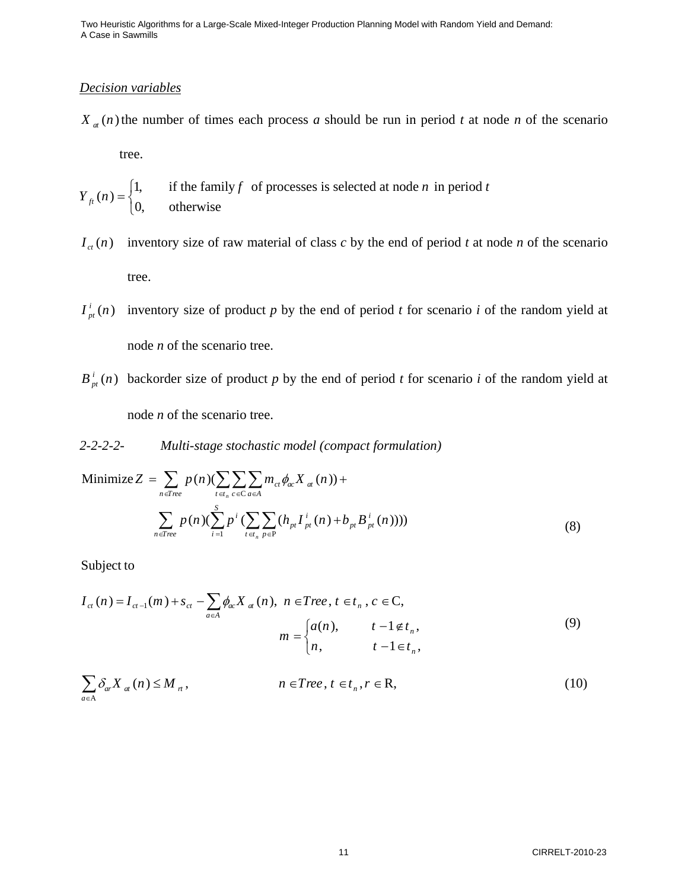## *Decision variables*

 $X_a(n)$  the number of times each process *a* should be run in period *t* at node *n* of the scenario

tree.

 $f_t(n) = \begin{cases} 1, & \text{if the family } f \text{ of processes is selected at node } n \text{ in period } t \\ 0, & \text{otherwise} \end{cases}$  $Y_{ft}(n) = \begin{cases}$  $\overline{\mathcal{L}}$ 

- $I_{ct}(n)$  inventory size of raw material of class *c* by the end of period *t* at node *n* of the scenario tree.
- $I_{pt}^{i}(n)$  inventory size of product p by the end of period t for scenario i of the random yield at node *n* of the scenario tree.
- $B_{nt}^{i}(n)$  backorder size of product p by the end of period t for scenario i of the random yield at node *n* of the scenario tree.
- *2-2-2-2- Multi-stage stochastic model (compact formulation)*

Minimize 
$$
Z = \sum_{n \in Tree} p(n) (\sum_{t \in I_n} \sum_{c \in C} \sum_{a \in A} m_{ct} \phi_{ac} X_{at}(n)) +
$$
  

$$
\sum_{n \in Tree} p(n) (\sum_{i=1}^{S} p^i (\sum_{t \in I_n} \sum_{p \in P} (h_{pt} I_{pt}^i (n) + b_{pt} B_{pt}^i (n))))
$$
(8)

Subject to

$$
I_{ct}(n) = I_{ct-1}(m) + s_{ct} - \sum_{a \in A} \phi_{ac} X_{at}(n), \quad n \in Tree, t \in t_n, c \in C,
$$
  

$$
m = \begin{cases} a(n), & t - 1 \notin t_n, \\ n, & t - 1 \in t_n, \end{cases}
$$
 (9)

$$
\sum_{a \in A} \delta_{ar} X_{at}(n) \le M_n, \qquad n \in Tree, t \in t_n, r \in R,
$$
\n(10)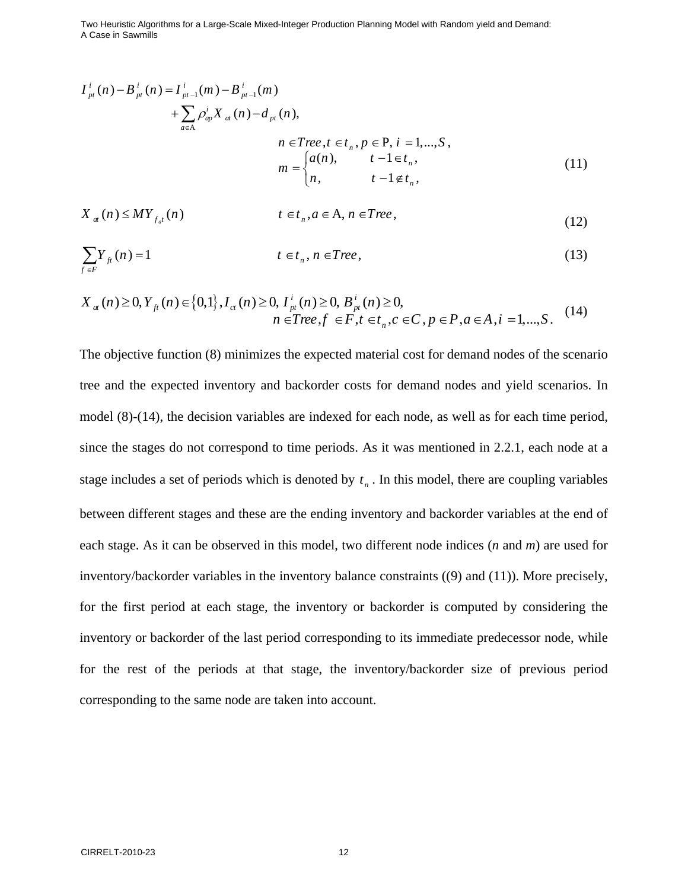$$
I_{pt}^{i}(n) - B_{pt}^{i}(n) = I_{pt-1}^{i}(m) - B_{pt-1}^{i}(m)
$$
  
+ 
$$
\sum_{a \in A} \rho_{ap}^{i} X_{at}(n) - d_{pt}(n),
$$
  

$$
n \in Tree, t \in t_{n}, p \in P, i = 1,...,S,
$$
  

$$
m = \begin{cases} a(n), & t - 1 \in t_{n}, \\ n, & t - 1 \notin t_{n}, \end{cases}
$$
 (11)

$$
X_{a}(n) \leq MY_{f_{a}t}(n) \qquad \qquad t \in t_{n}, a \in \mathcal{A}, n \in Tree,
$$
\n
$$
(12)
$$

$$
\sum_{f \in F} Y_{ft}(n) = 1 \qquad \qquad t \in t_n, n \in Tree,
$$
\n(13)

$$
X_{a}(n) \ge 0, Y_{f}(n) \in \{0,1\}, I_{ct}(n) \ge 0, I_{pt}^{i}(n) \ge 0, B_{pt}^{i}(n) \ge 0,
$$
  
\n
$$
n \in Tree, f \in F, t \in t_{n}, c \in C, p \in P, a \in A, i = 1,...,S.
$$
 (14)

The objective function (8) minimizes the expected material cost for demand nodes of the scenario tree and the expected inventory and backorder costs for demand nodes and yield scenarios. In model (8)-(14), the decision variables are indexed for each node, as well as for each time period, since the stages do not correspond to time periods. As it was mentioned in 2.2.1, each node at a stage includes a set of periods which is denoted by  $t_n$ . In this model, there are coupling variables between different stages and these are the ending inventory and backorder variables at the end of each stage. As it can be observed in this model, two different node indices (*n* and *m*) are used for inventory/backorder variables in the inventory balance constraints ((9) and (11)). More precisely, for the first period at each stage, the inventory or backorder is computed by considering the inventory or backorder of the last period corresponding to its immediate predecessor node, while for the rest of the periods at that stage, the inventory/backorder size of previous period corresponding to the same node are taken into account.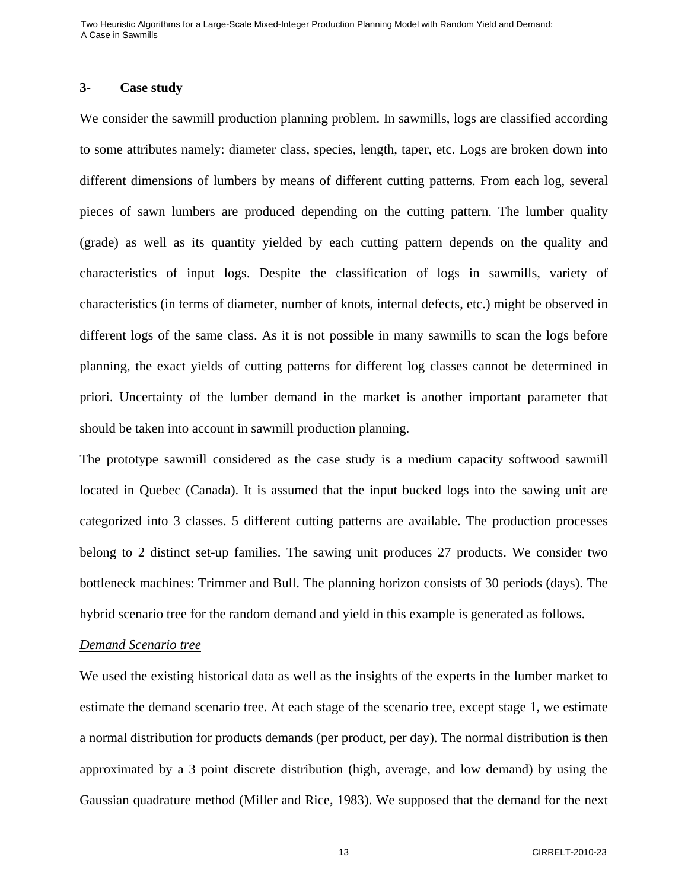#### **3- Case study**

We consider the sawmill production planning problem. In sawmills, logs are classified according to some attributes namely: diameter class, species, length, taper, etc. Logs are broken down into different dimensions of lumbers by means of different cutting patterns. From each log, several pieces of sawn lumbers are produced depending on the cutting pattern. The lumber quality (grade) as well as its quantity yielded by each cutting pattern depends on the quality and characteristics of input logs. Despite the classification of logs in sawmills, variety of characteristics (in terms of diameter, number of knots, internal defects, etc.) might be observed in different logs of the same class. As it is not possible in many sawmills to scan the logs before planning, the exact yields of cutting patterns for different log classes cannot be determined in priori. Uncertainty of the lumber demand in the market is another important parameter that should be taken into account in sawmill production planning.

The prototype sawmill considered as the case study is a medium capacity softwood sawmill located in Quebec (Canada). It is assumed that the input bucked logs into the sawing unit are categorized into 3 classes. 5 different cutting patterns are available. The production processes belong to 2 distinct set-up families. The sawing unit produces 27 products. We consider two bottleneck machines: Trimmer and Bull. The planning horizon consists of 30 periods (days). The hybrid scenario tree for the random demand and yield in this example is generated as follows.

#### *Demand Scenario tree*

We used the existing historical data as well as the insights of the experts in the lumber market to estimate the demand scenario tree. At each stage of the scenario tree, except stage 1, we estimate a normal distribution for products demands (per product, per day). The normal distribution is then approximated by a 3 point discrete distribution (high, average, and low demand) by using the Gaussian quadrature method (Miller and Rice, 1983). We supposed that the demand for the next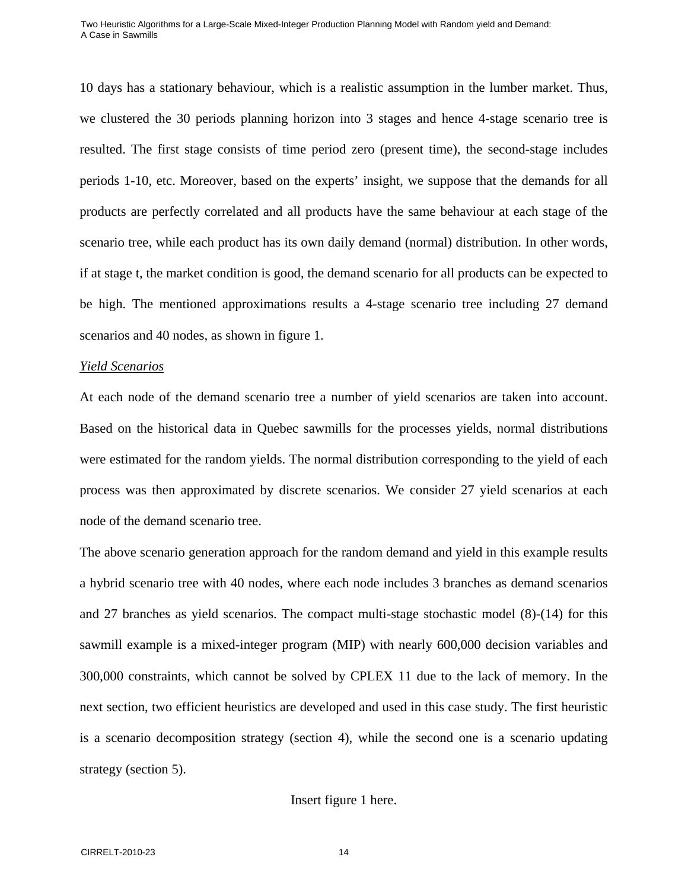10 days has a stationary behaviour, which is a realistic assumption in the lumber market. Thus, we clustered the 30 periods planning horizon into 3 stages and hence 4-stage scenario tree is resulted. The first stage consists of time period zero (present time), the second-stage includes periods 1-10, etc. Moreover, based on the experts' insight, we suppose that the demands for all products are perfectly correlated and all products have the same behaviour at each stage of the scenario tree, while each product has its own daily demand (normal) distribution. In other words, if at stage t, the market condition is good, the demand scenario for all products can be expected to be high. The mentioned approximations results a 4-stage scenario tree including 27 demand scenarios and 40 nodes, as shown in figure 1.

#### *Yield Scenarios*

At each node of the demand scenario tree a number of yield scenarios are taken into account. Based on the historical data in Quebec sawmills for the processes yields, normal distributions were estimated for the random yields. The normal distribution corresponding to the yield of each process was then approximated by discrete scenarios. We consider 27 yield scenarios at each node of the demand scenario tree.

The above scenario generation approach for the random demand and yield in this example results a hybrid scenario tree with 40 nodes, where each node includes 3 branches as demand scenarios and 27 branches as yield scenarios. The compact multi-stage stochastic model (8)-(14) for this sawmill example is a mixed-integer program (MIP) with nearly 600,000 decision variables and 300,000 constraints, which cannot be solved by CPLEX 11 due to the lack of memory. In the next section, two efficient heuristics are developed and used in this case study. The first heuristic is a scenario decomposition strategy (section 4), while the second one is a scenario updating strategy (section 5).

#### Insert figure 1 here.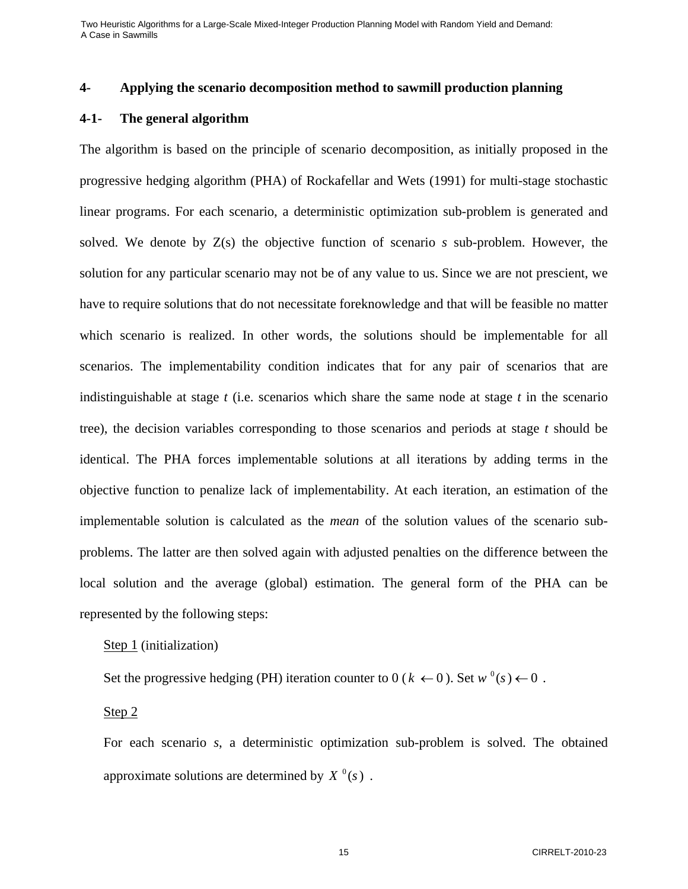## **4- Applying the scenario decomposition method to sawmill production planning**

#### **4-1- The general algorithm**

The algorithm is based on the principle of scenario decomposition, as initially proposed in the progressive hedging algorithm (PHA) of Rockafellar and Wets (1991) for multi-stage stochastic linear programs. For each scenario, a deterministic optimization sub-problem is generated and solved. We denote by Z(s) the objective function of scenario *s* sub-problem. However, the solution for any particular scenario may not be of any value to us. Since we are not prescient, we have to require solutions that do not necessitate foreknowledge and that will be feasible no matter which scenario is realized. In other words, the solutions should be implementable for all scenarios. The implementability condition indicates that for any pair of scenarios that are indistinguishable at stage *t* (i.e. scenarios which share the same node at stage *t* in the scenario tree), the decision variables corresponding to those scenarios and periods at stage *t* should be identical. The PHA forces implementable solutions at all iterations by adding terms in the objective function to penalize lack of implementability. At each iteration, an estimation of the implementable solution is calculated as the *mean* of the solution values of the scenario subproblems. The latter are then solved again with adjusted penalties on the difference between the local solution and the average (global) estimation. The general form of the PHA can be represented by the following steps:

Step 1 (initialization)

Set the progressive hedging (PH) iteration counter to 0 ( $k \leftarrow 0$ ). Set  $w^0(s) \leftarrow 0$ .

Step 2

For each scenario *s*, a deterministic optimization sub-problem is solved. The obtained approximate solutions are determined by  $X^0(s)$ .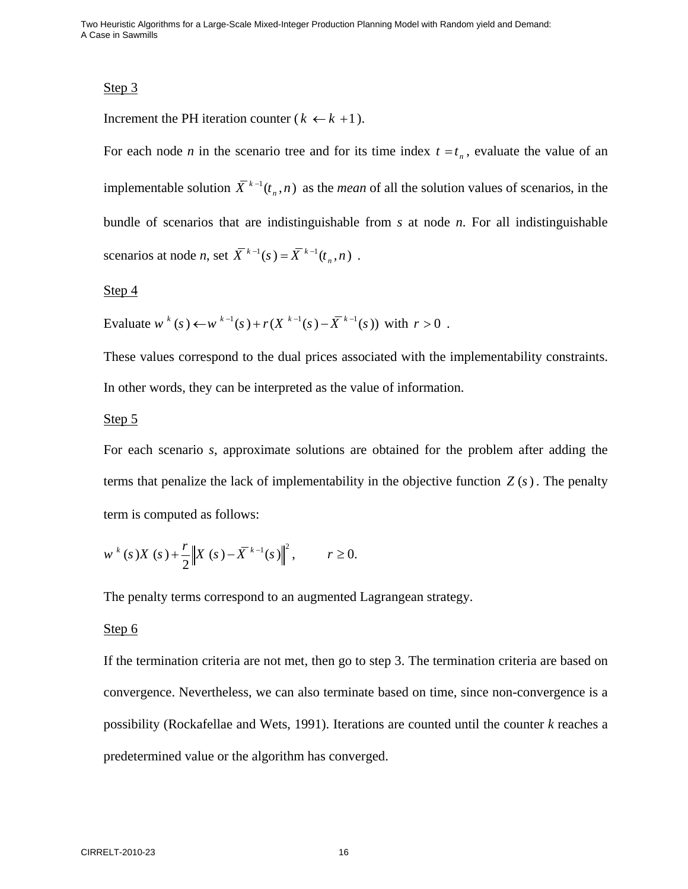## Step 3

Increment the PH iteration counter ( $k \leftarrow k+1$ ).

For each node *n* in the scenario tree and for its time index  $t = t_n$ , evaluate the value of an implementable solution  $\overline{X}^{k-1}(t_n, n)$  as the *mean* of all the solution values of scenarios, in the bundle of scenarios that are indistinguishable from *s* at node *n*. For all indistinguishable scenarios at node *n*, set  $\overline{X}^{k-1}(s) = \overline{X}^{k-1}(t_n, n)$ .

#### Step 4

Evaluate  $w^{k}(s) \leftarrow w^{k-1}(s) + r(X^{k-1}(s) - \overline{X}^{k-1}(s))$  with  $r > 0$ .

These values correspond to the dual prices associated with the implementability constraints. In other words, they can be interpreted as the value of information.

### Step 5

For each scenario *s*, approximate solutions are obtained for the problem after adding the terms that penalize the lack of implementability in the objective function  $Z(s)$ . The penalty term is computed as follows:

$$
w^{k}(s)X(s) + \frac{r}{2} ||X(s) - \overline{X}^{k-1}(s)||^{2}, \qquad r \ge 0.
$$

The penalty terms correspond to an augmented Lagrangean strategy.

### Step 6

If the termination criteria are not met, then go to step 3. The termination criteria are based on convergence. Nevertheless, we can also terminate based on time, since non-convergence is a possibility (Rockafellae and Wets, 1991). Iterations are counted until the counter *k* reaches a predetermined value or the algorithm has converged.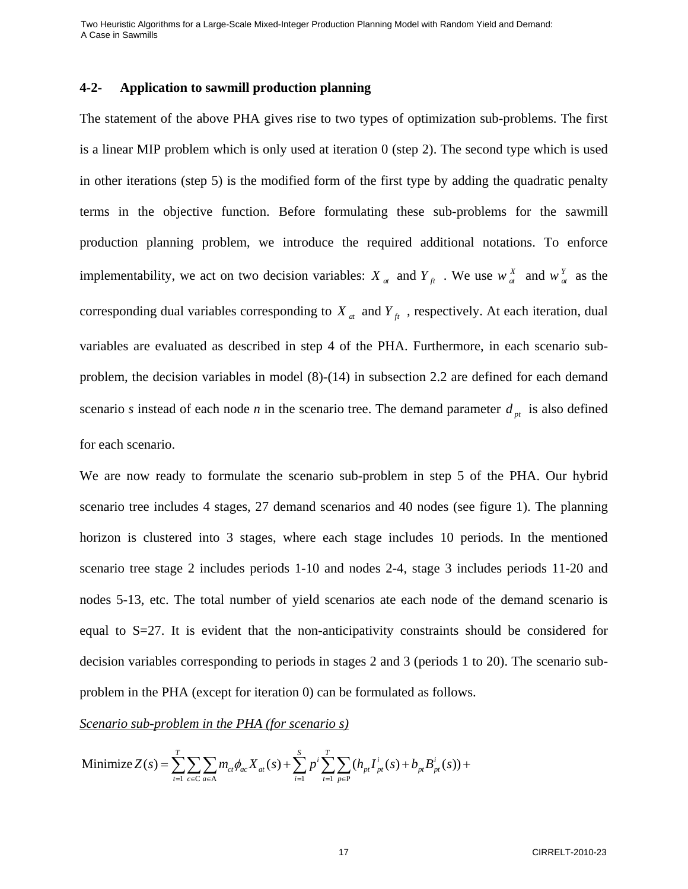## **4-2- Application to sawmill production planning**

The statement of the above PHA gives rise to two types of optimization sub-problems. The first is a linear MIP problem which is only used at iteration 0 (step 2). The second type which is used in other iterations (step 5) is the modified form of the first type by adding the quadratic penalty terms in the objective function. Before formulating these sub-problems for the sawmill production planning problem, we introduce the required additional notations. To enforce implementability, we act on two decision variables:  $X_a$  and  $Y_f$ . We use  $W_a^X$  and  $W_a^Y$  as the corresponding dual variables corresponding to  $X_a$  and  $Y_f$ , respectively. At each iteration, dual variables are evaluated as described in step 4 of the PHA. Furthermore, in each scenario subproblem, the decision variables in model (8)-(14) in subsection 2.2 are defined for each demand scenario *s* instead of each node *n* in the scenario tree. The demand parameter  $d_{nt}$  is also defined for each scenario.

We are now ready to formulate the scenario sub-problem in step 5 of the PHA. Our hybrid scenario tree includes 4 stages, 27 demand scenarios and 40 nodes (see figure 1). The planning horizon is clustered into 3 stages, where each stage includes 10 periods. In the mentioned scenario tree stage 2 includes periods 1-10 and nodes 2-4, stage 3 includes periods 11-20 and nodes 5-13, etc. The total number of yield scenarios ate each node of the demand scenario is equal to  $S=27$ . It is evident that the non-anticipativity constraints should be considered for decision variables corresponding to periods in stages 2 and 3 (periods 1 to 20). The scenario subproblem in the PHA (except for iteration 0) can be formulated as follows.

*Scenario sub-problem in the PHA (for scenario s)*

Minimize 
$$
Z(s) = \sum_{t=1}^{T} \sum_{c \in C} \sum_{a \in A} m_{ct} \phi_{ac} X_{at}(s) + \sum_{i=1}^{S} p^{i} \sum_{t=1}^{T} \sum_{p \in P} (h_{pt} I_{pt}^{i}(s) + b_{pt} B_{pt}^{i}(s)) +
$$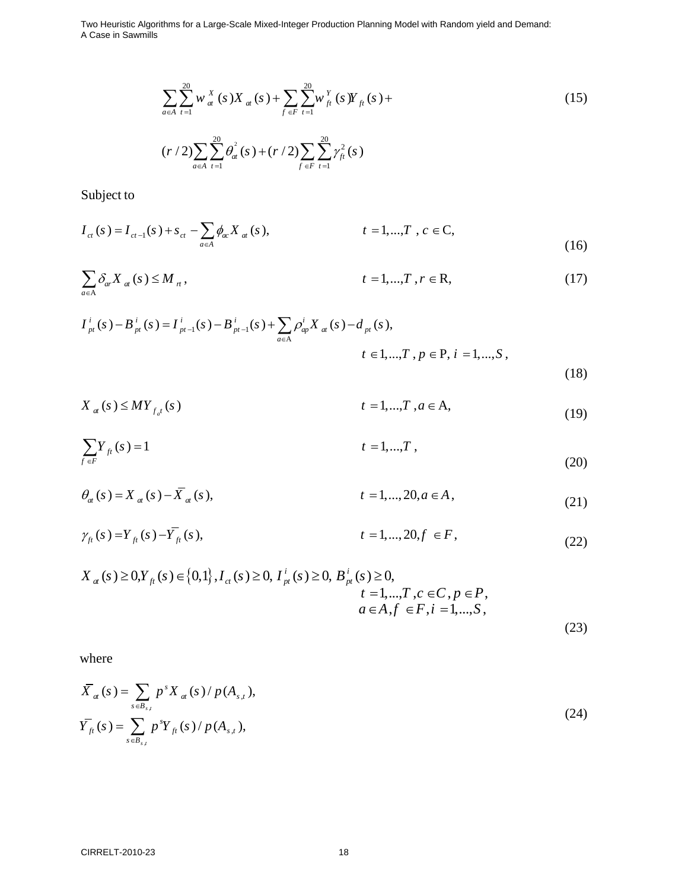$$
\sum_{a \in A} \sum_{t=1}^{20} w_{at}^{X}(s) X_{at}(s) + \sum_{f \in F} \sum_{t=1}^{20} w_{ft}^{Y}(s) Y_{ft}(s) +
$$
\n
$$
\sum_{t=1}^{20} \sum_{t=1}^{20} w_{at}^{Y}(s) Y_{ft}(s) + \sum_{t=1}^{20} \sum_{t=1}^{20} w_{at}^{Y}(s) Y_{ft}(s) +
$$
\n(15)

 $\sum_{1}^{20}$   $\sigma^2$  (e)  $\pm$  (x (2)  $\sum_{1}^{20}$   $\sim$   $\epsilon^2$  $\text{if } f \in F \text{ } t=1$  $(r / 2) \sum \sum \theta_{at}^{2}(s) + (r / 2) \sum \sum \gamma_{ft}^{2}(s)$  $a \in A$   $t = 1$   $f \in F$  *t*  $r/2$ )  $\sum \sum \theta_{at} (s) + (r/2) \sum \sum \gamma_{ft}^2 (s)$  $\sum_{a\in A}\sum_{t=1}\theta^2_{at}(s)+(r/2)\sum_{f\in F}\sum_{t=1}$ 

Subject to

$$
I_{ct}(s) = I_{ct-1}(s) + s_{ct} - \sum_{a \in A} \phi_{ac} X_{at}(s), \qquad t = 1,...,T, c \in C,
$$
\n(16)

$$
\sum_{a \in A} \delta_{ar} X_{at}(s) \le M_{rt}, \qquad \qquad t = 1, \dots, T, r \in \mathbb{R}, \qquad (17)
$$

$$
I_{pt}^{i}(s) - B_{pt}^{i}(s) = I_{pt-1}^{i}(s) - B_{pt-1}^{i}(s) + \sum_{a \in A} \rho_{ap}^{i} X_{at}(s) - d_{pt}(s),
$$
  
\n
$$
t \in 1,...,T, p \in P, i = 1,...,S,
$$
\n(18)

$$
X_{a}(s) \leq MY_{f_{a}t}(s) \qquad \qquad t = 1,...,T, a \in A,
$$
\n(19)

$$
\sum_{f \in F} Y_{ft}(s) = 1 \qquad \qquad t = 1, ..., T \tag{20}
$$

- $\theta_{at}(s) = X_{at}(s) \overline{X}_{at}(s),$   $t = 1,..., 20, a \in A,$  (21)
- $\gamma_{ft}(s) = Y_{ft}(s) \overline{Y}_{ft}(s),$   $t = 1,..., 20, f \in F,$  (22)

$$
X_{a}(s) \ge 0, Y_{f}(s) \in \{0,1\}, I_{ct}(s) \ge 0, I_{pt}^{i}(s) \ge 0, B_{pt}^{i}(s) \ge 0, \t=1,...,T, c \in C, p \in P, \t a \in A, f \in F, i = 1,...,S,
$$
\n(23)

where

$$
\overline{X}_{at}(s) = \sum_{s \in B_{s,t}} p^{s} X_{at}(s) / p(A_{s,t}),
$$
\n
$$
\overline{Y}_{ft}(s) = \sum_{s \in B_{s,t}} p^{s} Y_{ft}(s) / p(A_{s,t}),
$$
\n(24)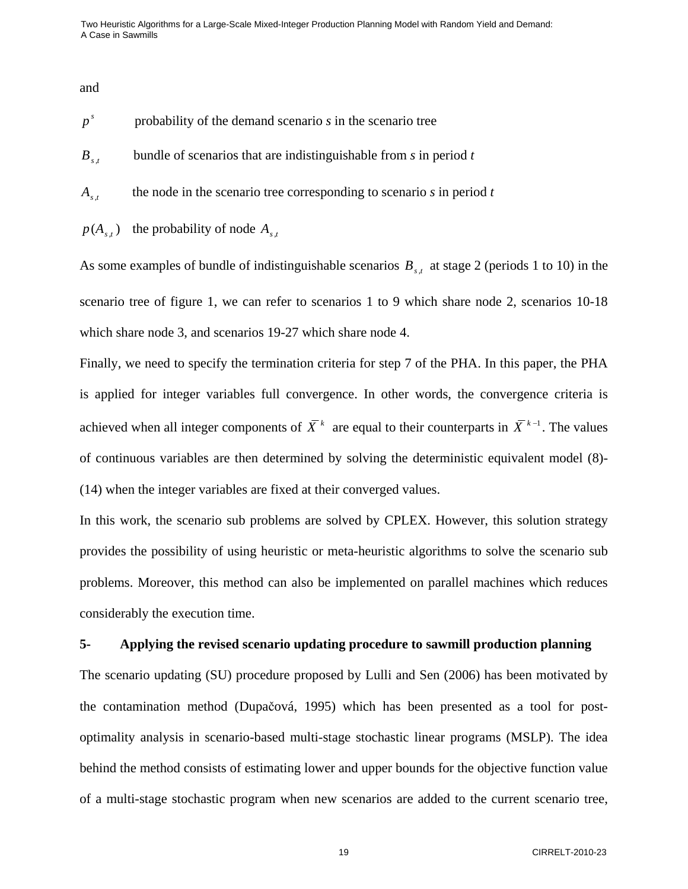and

- $p<sup>s</sup>$  probability of the demand scenario *s* in the scenario tree
- *Bs*,*t* bundle of scenarios that are indistinguishable from *s* in period *t*
- $A_{s,t}$  the node in the scenario tree corresponding to scenario *s* in period *t*
- $p(A_{s,t})$  the probability of node  $A_{s,t}$

As some examples of bundle of indistinguishable scenarios  $B_{s,t}$  at stage 2 (periods 1 to 10) in the scenario tree of figure 1, we can refer to scenarios 1 to 9 which share node 2, scenarios 10-18 which share node 3, and scenarios 19-27 which share node 4.

Finally, we need to specify the termination criteria for step 7 of the PHA. In this paper, the PHA is applied for integer variables full convergence. In other words, the convergence criteria is achieved when all integer components of  $\overline{X}^k$  are equal to their counterparts in  $\overline{X}^{k-1}$ . The values of continuous variables are then determined by solving the deterministic equivalent model (8)- (14) when the integer variables are fixed at their converged values.

In this work, the scenario sub problems are solved by CPLEX. However, this solution strategy provides the possibility of using heuristic or meta-heuristic algorithms to solve the scenario sub problems. Moreover, this method can also be implemented on parallel machines which reduces considerably the execution time.

## **5- Applying the revised scenario updating procedure to sawmill production planning**

The scenario updating (SU) procedure proposed by Lulli and Sen (2006) has been motivated by the contamination method (Dupačová, 1995) which has been presented as a tool for postoptimality analysis in scenario-based multi-stage stochastic linear programs (MSLP). The idea behind the method consists of estimating lower and upper bounds for the objective function value of a multi-stage stochastic program when new scenarios are added to the current scenario tree,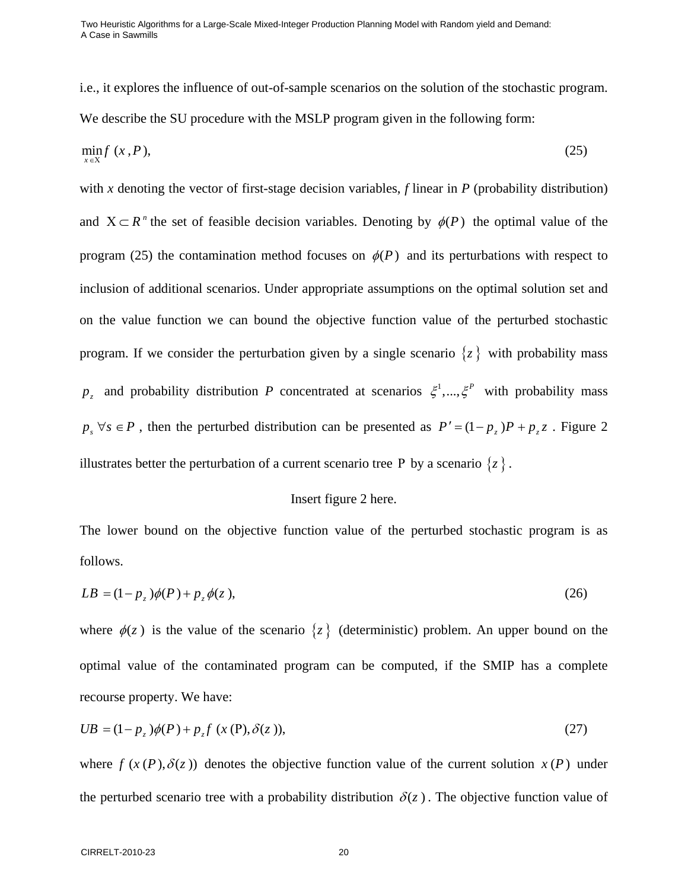i.e., it explores the influence of out-of-sample scenarios on the solution of the stochastic program. We describe the SU procedure with the MSLP program given in the following form:

$$
\min_{x \in X} f(x, P),\tag{25}
$$

with *x* denoting the vector of first-stage decision variables, *f* linear in *P* (probability distribution) and  $X \subset R^n$  the set of feasible decision variables. Denoting by  $\phi(P)$  the optimal value of the program (25) the contamination method focuses on  $\phi(P)$  and its perturbations with respect to inclusion of additional scenarios. Under appropriate assumptions on the optimal solution set and on the value function we can bound the objective function value of the perturbed stochastic program. If we consider the perturbation given by a single scenario  $\{z\}$  with probability mass  $p_z$  and probability distribution *P* concentrated at scenarios  $\zeta^1,...,\zeta^P$  with probability mass  $p_s \forall s \in P$ , then the perturbed distribution can be presented as  $P' = (1 - p_z)P + p_z z$ . Figure 2 illustrates better the perturbation of a current scenario tree P by a scenario  $\{z\}$ .

#### Insert figure 2 here.

The lower bound on the objective function value of the perturbed stochastic program is as follows.

$$
LB = (1 - pz)\phi(P) + pz\phi(z),
$$
\n(26)

where  $\phi(z)$  is the value of the scenario  $\{z\}$  (deterministic) problem. An upper bound on the optimal value of the contaminated program can be computed, if the SMIP has a complete recourse property. We have:

$$
UB = (1 - p_z) \phi(P) + p_z f (x (P), \delta(z)),
$$
\n(27)

where  $f(x(P), \delta(z))$  denotes the objective function value of the current solution  $x(P)$  under the perturbed scenario tree with a probability distribution  $\delta(z)$ . The objective function value of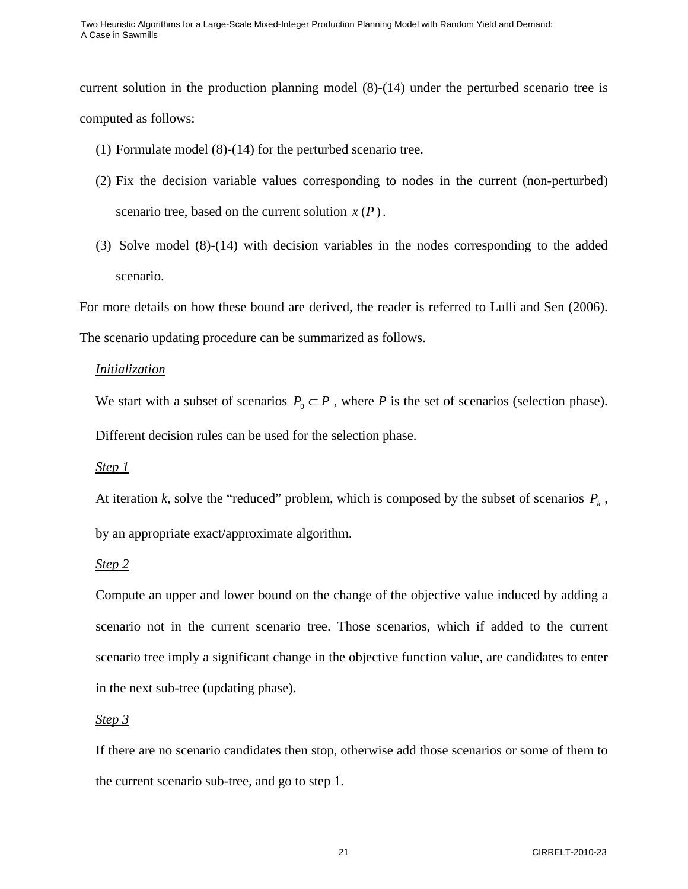current solution in the production planning model (8)-(14) under the perturbed scenario tree is computed as follows:

- (1) Formulate model (8)-(14) for the perturbed scenario tree.
- (2) Fix the decision variable values corresponding to nodes in the current (non-perturbed) scenario tree, based on the current solution  $x(P)$ .
- (3) Solve model (8)-(14) with decision variables in the nodes corresponding to the added scenario.

For more details on how these bound are derived, the reader is referred to Lulli and Sen (2006). The scenario updating procedure can be summarized as follows.

## *Initialization*

We start with a subset of scenarios  $P_0 \subset P$ , where *P* is the set of scenarios (selection phase). Different decision rules can be used for the selection phase.

## *Step 1*

At iteration *k*, solve the "reduced" problem, which is composed by the subset of scenarios  $P_k$ , by an appropriate exact/approximate algorithm.

# *Step 2*

Compute an upper and lower bound on the change of the objective value induced by adding a scenario not in the current scenario tree. Those scenarios, which if added to the current scenario tree imply a significant change in the objective function value, are candidates to enter in the next sub-tree (updating phase).

## *Step 3*

If there are no scenario candidates then stop, otherwise add those scenarios or some of them to the current scenario sub-tree, and go to step 1.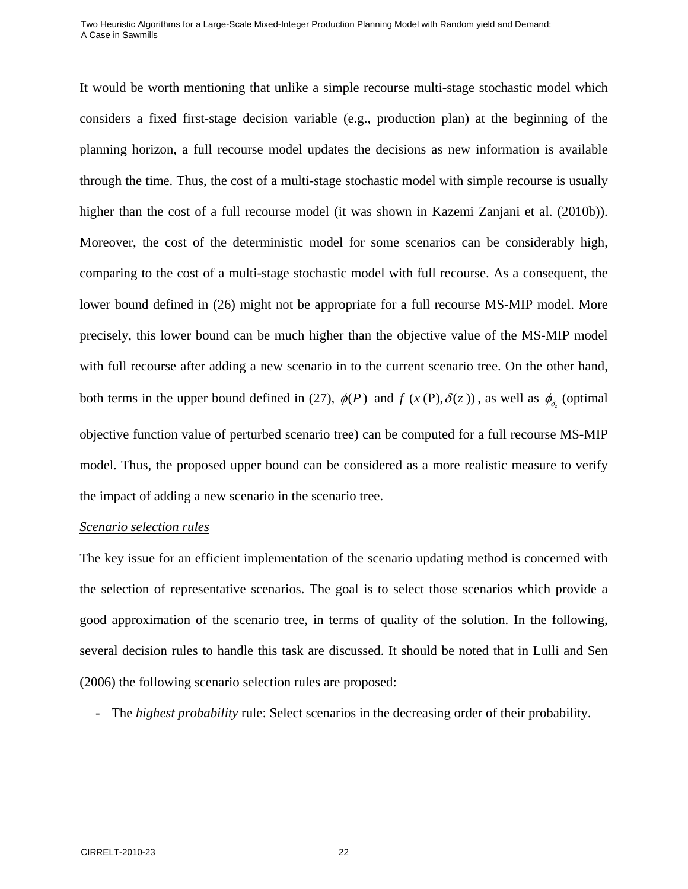It would be worth mentioning that unlike a simple recourse multi-stage stochastic model which considers a fixed first-stage decision variable (e.g., production plan) at the beginning of the planning horizon, a full recourse model updates the decisions as new information is available through the time. Thus, the cost of a multi-stage stochastic model with simple recourse is usually higher than the cost of a full recourse model (it was shown in Kazemi Zanjani et al. (2010b)). Moreover, the cost of the deterministic model for some scenarios can be considerably high, comparing to the cost of a multi-stage stochastic model with full recourse. As a consequent, the lower bound defined in (26) might not be appropriate for a full recourse MS-MIP model. More precisely, this lower bound can be much higher than the objective value of the MS-MIP model with full recourse after adding a new scenario in to the current scenario tree. On the other hand, both terms in the upper bound defined in (27),  $\phi(P)$  and  $f(x(P), \delta(z))$ , as well as  $\phi_{\delta}$  (optimal objective function value of perturbed scenario tree) can be computed for a full recourse MS-MIP model. Thus, the proposed upper bound can be considered as a more realistic measure to verify the impact of adding a new scenario in the scenario tree.

#### *Scenario selection rules*

The key issue for an efficient implementation of the scenario updating method is concerned with the selection of representative scenarios. The goal is to select those scenarios which provide a good approximation of the scenario tree, in terms of quality of the solution. In the following, several decision rules to handle this task are discussed. It should be noted that in Lulli and Sen (2006) the following scenario selection rules are proposed:

- The *highest probability* rule: Select scenarios in the decreasing order of their probability.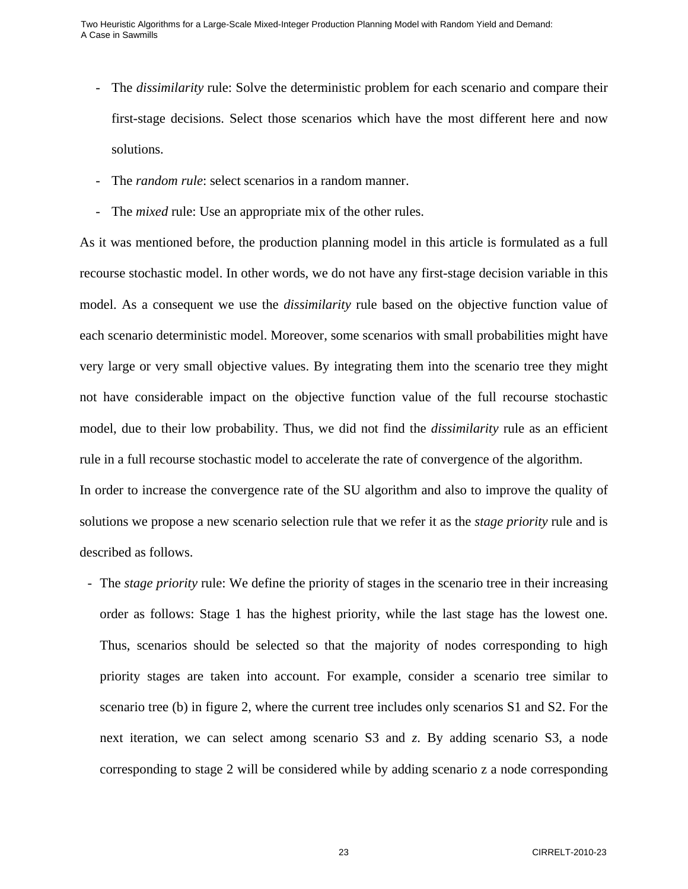- The *dissimilarity* rule: Solve the deterministic problem for each scenario and compare their first-stage decisions. Select those scenarios which have the most different here and now solutions.
- The *random rule*: select scenarios in a random manner.
- The *mixed* rule: Use an appropriate mix of the other rules.

As it was mentioned before, the production planning model in this article is formulated as a full recourse stochastic model. In other words, we do not have any first-stage decision variable in this model. As a consequent we use the *dissimilarity* rule based on the objective function value of each scenario deterministic model. Moreover, some scenarios with small probabilities might have very large or very small objective values. By integrating them into the scenario tree they might not have considerable impact on the objective function value of the full recourse stochastic model, due to their low probability. Thus, we did not find the *dissimilarity* rule as an efficient rule in a full recourse stochastic model to accelerate the rate of convergence of the algorithm. In order to increase the convergence rate of the SU algorithm and also to improve the quality of solutions we propose a new scenario selection rule that we refer it as the *stage priority* rule and is

described as follows.

- The *stage priority* rule: We define the priority of stages in the scenario tree in their increasing order as follows: Stage 1 has the highest priority, while the last stage has the lowest one. Thus, scenarios should be selected so that the majority of nodes corresponding to high priority stages are taken into account. For example, consider a scenario tree similar to scenario tree (b) in figure 2, where the current tree includes only scenarios S1 and S2. For the next iteration, we can select among scenario S3 and *z*. By adding scenario S3, a node corresponding to stage 2 will be considered while by adding scenario z a node corresponding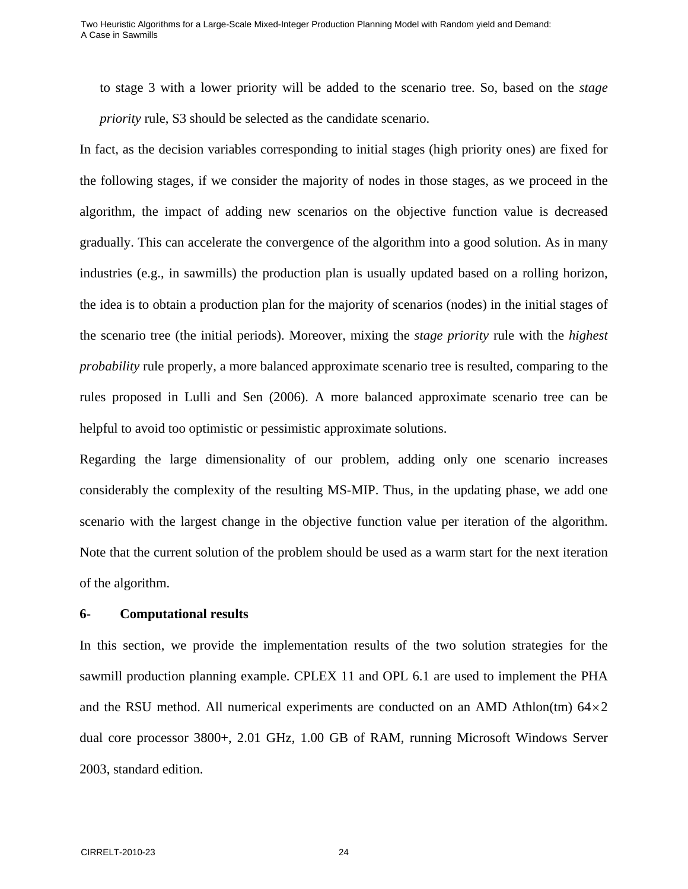to stage 3 with a lower priority will be added to the scenario tree. So, based on the *stage priority* rule, S3 should be selected as the candidate scenario.

In fact, as the decision variables corresponding to initial stages (high priority ones) are fixed for the following stages, if we consider the majority of nodes in those stages, as we proceed in the algorithm, the impact of adding new scenarios on the objective function value is decreased gradually. This can accelerate the convergence of the algorithm into a good solution. As in many industries (e.g., in sawmills) the production plan is usually updated based on a rolling horizon, the idea is to obtain a production plan for the majority of scenarios (nodes) in the initial stages of the scenario tree (the initial periods). Moreover, mixing the *stage priority* rule with the *highest probability* rule properly, a more balanced approximate scenario tree is resulted, comparing to the rules proposed in Lulli and Sen (2006). A more balanced approximate scenario tree can be helpful to avoid too optimistic or pessimistic approximate solutions.

Regarding the large dimensionality of our problem, adding only one scenario increases considerably the complexity of the resulting MS-MIP. Thus, in the updating phase, we add one scenario with the largest change in the objective function value per iteration of the algorithm. Note that the current solution of the problem should be used as a warm start for the next iteration of the algorithm.

### **6- Computational results**

In this section, we provide the implementation results of the two solution strategies for the sawmill production planning example. CPLEX 11 and OPL 6.1 are used to implement the PHA and the RSU method. All numerical experiments are conducted on an AMD Athlon(tm)  $64 \times 2$ dual core processor 3800+, 2.01 GHz, 1.00 GB of RAM, running Microsoft Windows Server 2003, standard edition.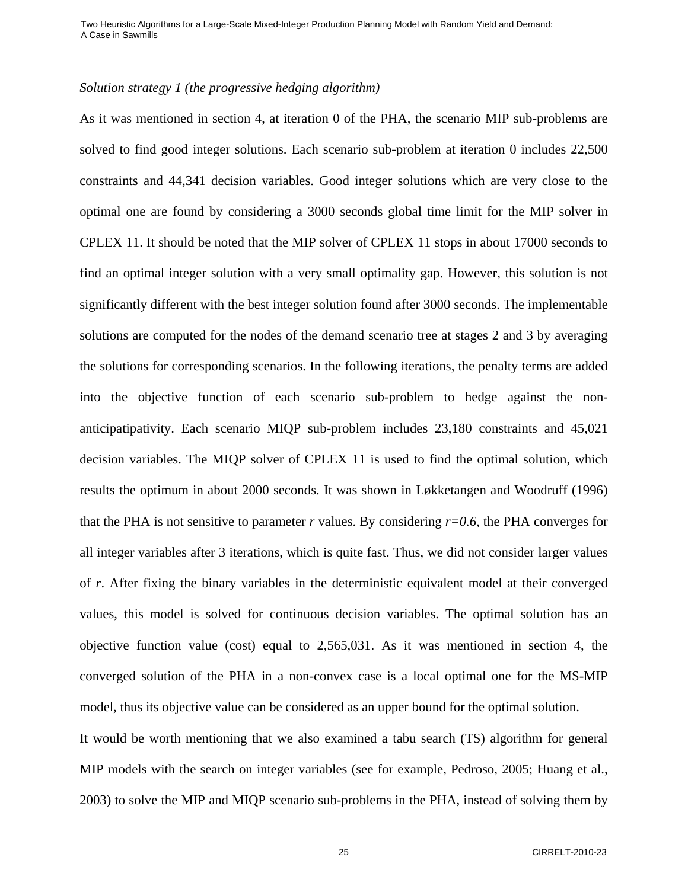### *Solution strategy 1 (the progressive hedging algorithm)*

As it was mentioned in section 4, at iteration 0 of the PHA, the scenario MIP sub-problems are solved to find good integer solutions. Each scenario sub-problem at iteration 0 includes 22,500 constraints and 44,341 decision variables. Good integer solutions which are very close to the optimal one are found by considering a 3000 seconds global time limit for the MIP solver in CPLEX 11. It should be noted that the MIP solver of CPLEX 11 stops in about 17000 seconds to find an optimal integer solution with a very small optimality gap. However, this solution is not significantly different with the best integer solution found after 3000 seconds. The implementable solutions are computed for the nodes of the demand scenario tree at stages 2 and 3 by averaging the solutions for corresponding scenarios. In the following iterations, the penalty terms are added into the objective function of each scenario sub-problem to hedge against the nonanticipatipativity. Each scenario MIQP sub-problem includes 23,180 constraints and 45,021 decision variables. The MIQP solver of CPLEX 11 is used to find the optimal solution, which results the optimum in about 2000 seconds. It was shown in Løkketangen and Woodruff (1996) that the PHA is not sensitive to parameter *r* values. By considering  $r=0.6$ , the PHA converges for all integer variables after 3 iterations, which is quite fast. Thus, we did not consider larger values of *r*. After fixing the binary variables in the deterministic equivalent model at their converged values, this model is solved for continuous decision variables. The optimal solution has an objective function value (cost) equal to 2,565,031. As it was mentioned in section 4, the converged solution of the PHA in a non-convex case is a local optimal one for the MS-MIP model, thus its objective value can be considered as an upper bound for the optimal solution.

It would be worth mentioning that we also examined a tabu search (TS) algorithm for general MIP models with the search on integer variables (see for example, Pedroso, 2005; Huang et al., 2003) to solve the MIP and MIQP scenario sub-problems in the PHA, instead of solving them by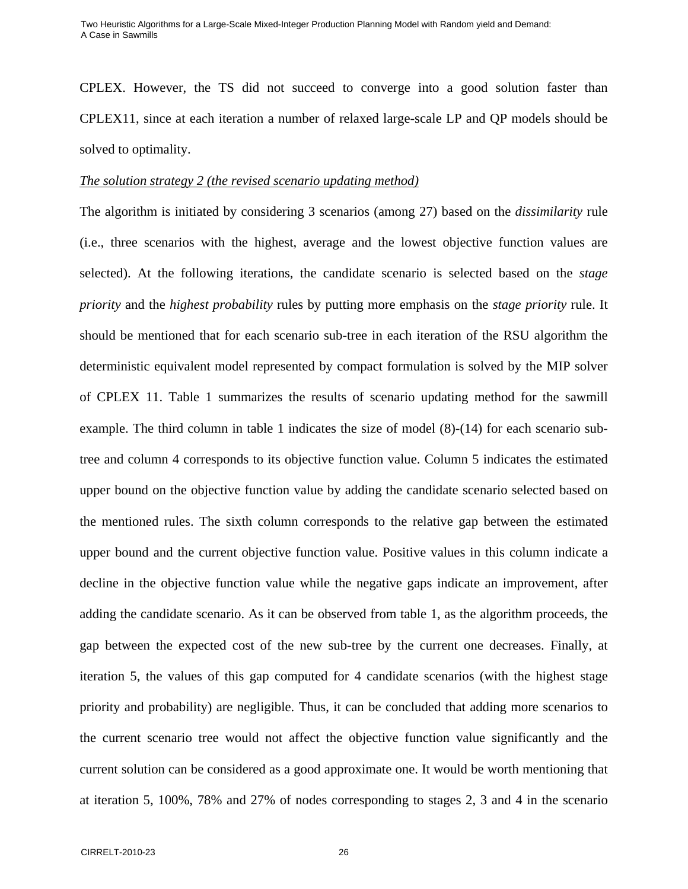CPLEX. However, the TS did not succeed to converge into a good solution faster than CPLEX11, since at each iteration a number of relaxed large-scale LP and QP models should be solved to optimality.

#### *The solution strategy 2 (the revised scenario updating method)*

The algorithm is initiated by considering 3 scenarios (among 27) based on the *dissimilarity* rule (i.e., three scenarios with the highest, average and the lowest objective function values are selected). At the following iterations, the candidate scenario is selected based on the *stage priority* and the *highest probability* rules by putting more emphasis on the *stage priority* rule. It should be mentioned that for each scenario sub-tree in each iteration of the RSU algorithm the deterministic equivalent model represented by compact formulation is solved by the MIP solver of CPLEX 11. Table 1 summarizes the results of scenario updating method for the sawmill example. The third column in table 1 indicates the size of model (8)-(14) for each scenario subtree and column 4 corresponds to its objective function value. Column 5 indicates the estimated upper bound on the objective function value by adding the candidate scenario selected based on the mentioned rules. The sixth column corresponds to the relative gap between the estimated upper bound and the current objective function value. Positive values in this column indicate a decline in the objective function value while the negative gaps indicate an improvement, after adding the candidate scenario. As it can be observed from table 1, as the algorithm proceeds, the gap between the expected cost of the new sub-tree by the current one decreases. Finally, at iteration 5, the values of this gap computed for 4 candidate scenarios (with the highest stage priority and probability) are negligible. Thus, it can be concluded that adding more scenarios to the current scenario tree would not affect the objective function value significantly and the current solution can be considered as a good approximate one. It would be worth mentioning that at iteration 5, 100%, 78% and 27% of nodes corresponding to stages 2, 3 and 4 in the scenario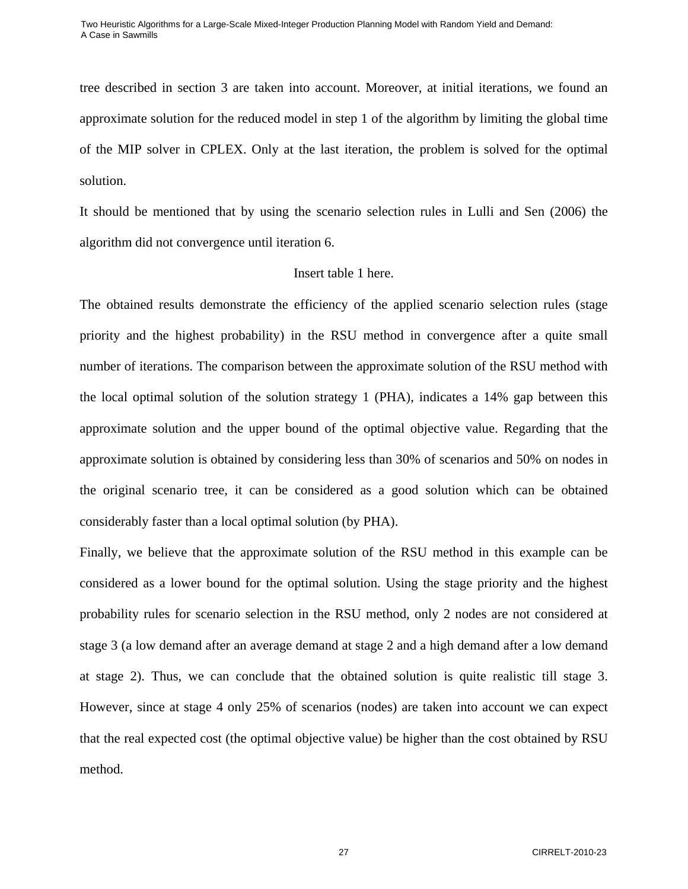tree described in section 3 are taken into account. Moreover, at initial iterations, we found an approximate solution for the reduced model in step 1 of the algorithm by limiting the global time of the MIP solver in CPLEX. Only at the last iteration, the problem is solved for the optimal solution.

It should be mentioned that by using the scenario selection rules in Lulli and Sen (2006) the algorithm did not convergence until iteration 6.

### Insert table 1 here.

The obtained results demonstrate the efficiency of the applied scenario selection rules (stage priority and the highest probability) in the RSU method in convergence after a quite small number of iterations. The comparison between the approximate solution of the RSU method with the local optimal solution of the solution strategy 1 (PHA), indicates a 14% gap between this approximate solution and the upper bound of the optimal objective value. Regarding that the approximate solution is obtained by considering less than 30% of scenarios and 50% on nodes in the original scenario tree, it can be considered as a good solution which can be obtained considerably faster than a local optimal solution (by PHA).

Finally, we believe that the approximate solution of the RSU method in this example can be considered as a lower bound for the optimal solution. Using the stage priority and the highest probability rules for scenario selection in the RSU method, only 2 nodes are not considered at stage 3 (a low demand after an average demand at stage 2 and a high demand after a low demand at stage 2). Thus, we can conclude that the obtained solution is quite realistic till stage 3. However, since at stage 4 only 25% of scenarios (nodes) are taken into account we can expect that the real expected cost (the optimal objective value) be higher than the cost obtained by RSU method.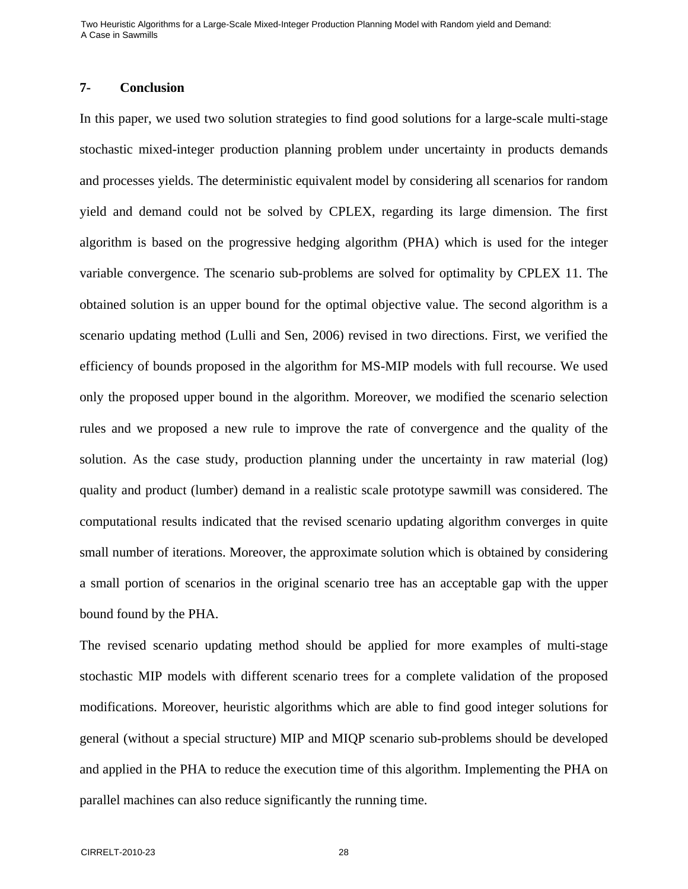### **7- Conclusion**

In this paper, we used two solution strategies to find good solutions for a large-scale multi-stage stochastic mixed-integer production planning problem under uncertainty in products demands and processes yields. The deterministic equivalent model by considering all scenarios for random yield and demand could not be solved by CPLEX, regarding its large dimension. The first algorithm is based on the progressive hedging algorithm (PHA) which is used for the integer variable convergence. The scenario sub-problems are solved for optimality by CPLEX 11. The obtained solution is an upper bound for the optimal objective value. The second algorithm is a scenario updating method (Lulli and Sen, 2006) revised in two directions. First, we verified the efficiency of bounds proposed in the algorithm for MS-MIP models with full recourse. We used only the proposed upper bound in the algorithm. Moreover, we modified the scenario selection rules and we proposed a new rule to improve the rate of convergence and the quality of the solution. As the case study, production planning under the uncertainty in raw material (log) quality and product (lumber) demand in a realistic scale prototype sawmill was considered. The computational results indicated that the revised scenario updating algorithm converges in quite small number of iterations. Moreover, the approximate solution which is obtained by considering a small portion of scenarios in the original scenario tree has an acceptable gap with the upper bound found by the PHA.

The revised scenario updating method should be applied for more examples of multi-stage stochastic MIP models with different scenario trees for a complete validation of the proposed modifications. Moreover, heuristic algorithms which are able to find good integer solutions for general (without a special structure) MIP and MIQP scenario sub-problems should be developed and applied in the PHA to reduce the execution time of this algorithm. Implementing the PHA on parallel machines can also reduce significantly the running time.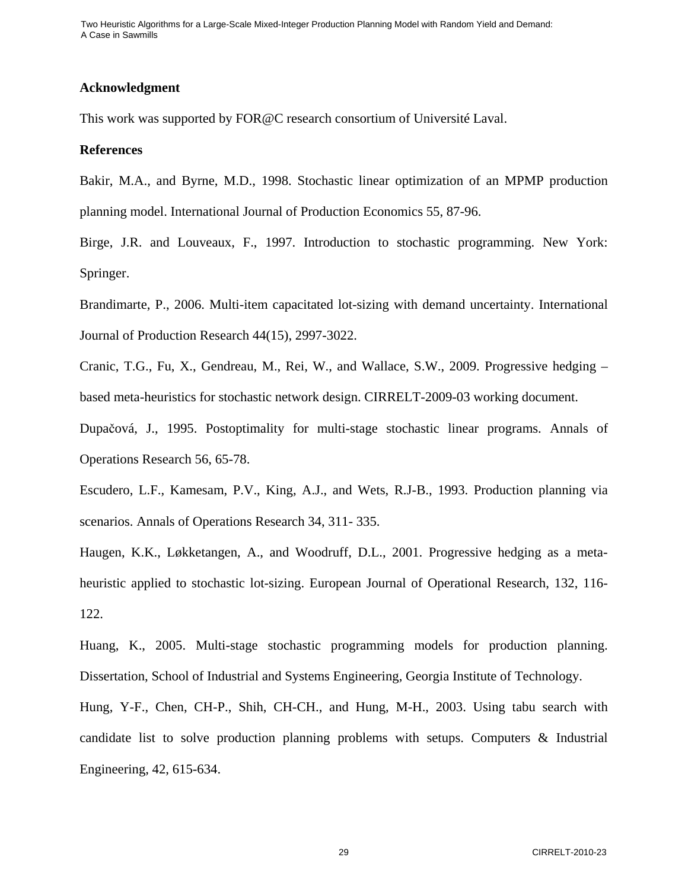#### **Acknowledgment**

This work was supported by FOR@C research consortium of Université Laval.

#### **References**

Bakir, M.A., and Byrne, M.D., 1998. Stochastic linear optimization of an MPMP production planning model. International Journal of Production Economics 55, 87-96.

Birge, J.R. and Louveaux, F., 1997. Introduction to stochastic programming. New York: Springer.

Brandimarte, P., 2006. Multi-item capacitated lot-sizing with demand uncertainty. International Journal of Production Research 44(15), 2997-3022.

Cranic, T.G., Fu, X., Gendreau, M., Rei, W., and Wallace, S.W., 2009. Progressive hedging – based meta-heuristics for stochastic network design. CIRRELT-2009-03 working document.

Dupačová, J., 1995. Postoptimality for multi-stage stochastic linear programs. Annals of Operations Research 56, 65-78.

Escudero, L.F., Kamesam, P.V., King, A.J., and Wets, R.J-B., 1993. Production planning via scenarios. Annals of Operations Research 34, 311- 335.

Haugen, K.K., Løkketangen, A., and Woodruff, D.L., 2001. Progressive hedging as a metaheuristic applied to stochastic lot-sizing. European Journal of Operational Research, 132, 116- 122.

Huang, K., 2005. Multi-stage stochastic programming models for production planning. Dissertation, School of Industrial and Systems Engineering, Georgia Institute of Technology.

Hung, Y-F., Chen, CH-P., Shih, CH-CH., and Hung, M-H., 2003. Using tabu search with candidate list to solve production planning problems with setups. Computers & Industrial Engineering, 42, 615-634.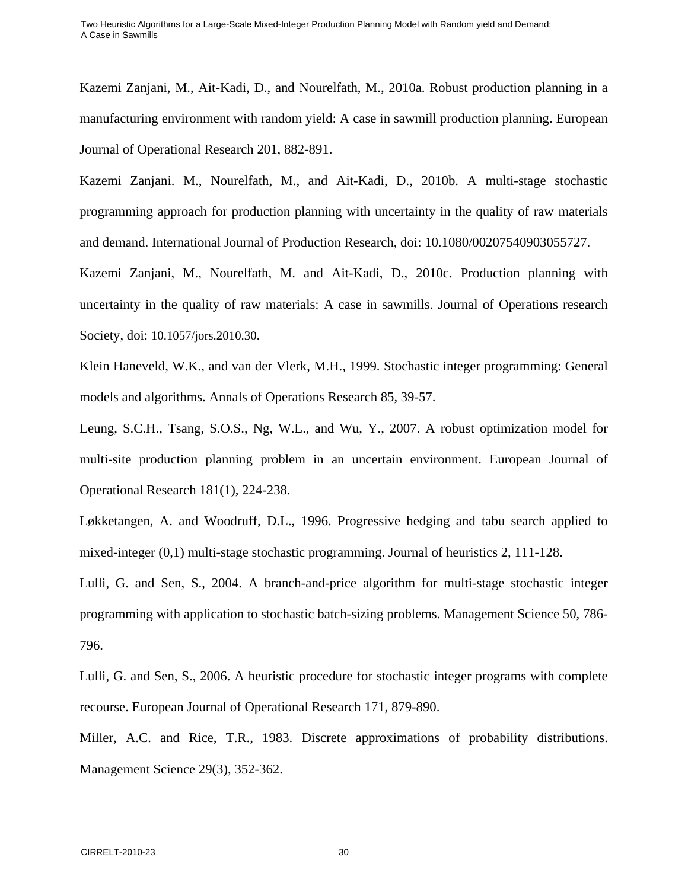Kazemi Zanjani, M., Ait-Kadi, D., and Nourelfath, M., 2010a. Robust production planning in a manufacturing environment with random yield: A case in sawmill production planning. European Journal of Operational Research 201, 882-891.

Kazemi Zanjani. M., Nourelfath, M., and Ait-Kadi, D., 2010b. A multi-stage stochastic programming approach for production planning with uncertainty in the quality of raw materials and demand. International Journal of Production Research, doi: 10.1080/00207540903055727.

Kazemi Zanjani, M., Nourelfath, M. and Ait-Kadi, D., 2010c. Production planning with uncertainty in the quality of raw materials: A case in sawmills. Journal of Operations research Society, doi: 10.1057/jors.2010.30.

Klein Haneveld, W.K., and van der Vlerk, M.H., 1999. Stochastic integer programming: General models and algorithms. Annals of Operations Research 85, 39-57.

Leung, S.C.H., Tsang, S.O.S., Ng, W.L., and Wu, Y., 2007. A robust optimization model for multi-site production planning problem in an uncertain environment. European Journal of Operational Research 181(1), 224-238.

Løkketangen, A. and Woodruff, D.L., 1996. Progressive hedging and tabu search applied to mixed-integer (0,1) multi-stage stochastic programming. Journal of heuristics 2, 111-128.

Lulli, G. and Sen, S., 2004. A branch-and-price algorithm for multi-stage stochastic integer programming with application to stochastic batch-sizing problems. Management Science 50, 786- 796.

Lulli, G. and Sen, S., 2006. A heuristic procedure for stochastic integer programs with complete recourse. European Journal of Operational Research 171, 879-890.

Miller, A.C. and Rice, T.R., 1983. Discrete approximations of probability distributions. Management Science 29(3), 352-362.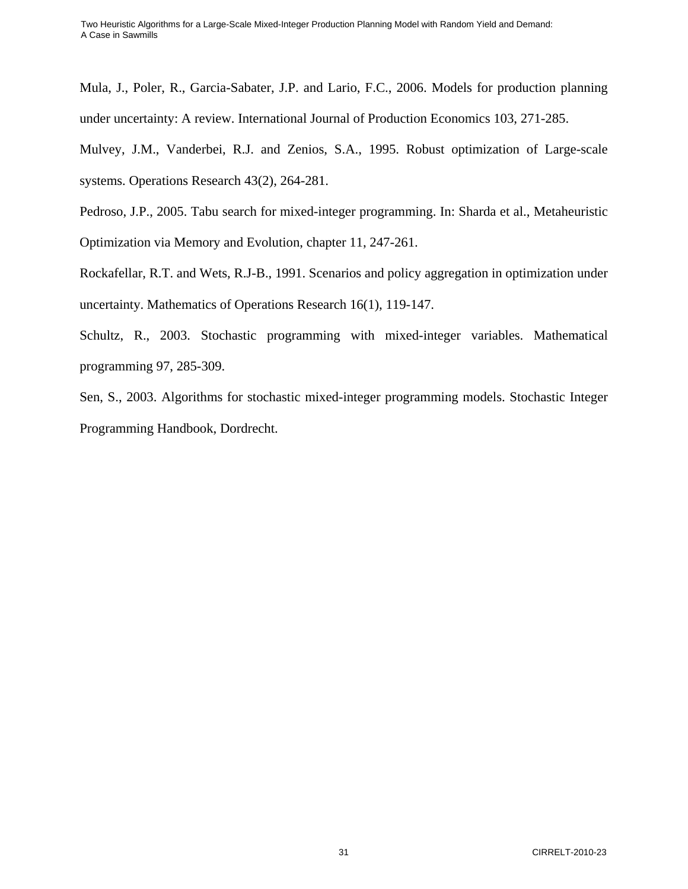Mula, J., Poler, R., Garcia-Sabater, J.P. and Lario, F.C., 2006. Models for production planning under uncertainty: A review. International Journal of Production Economics 103, 271-285.

Mulvey, J.M., Vanderbei, R.J. and Zenios, S.A., 1995. Robust optimization of Large-scale systems. Operations Research 43(2), 264-281.

Pedroso, J.P., 2005. Tabu search for mixed-integer programming. In: Sharda et al., Metaheuristic Optimization via Memory and Evolution, chapter 11, 247-261.

Rockafellar, R.T. and Wets, R.J-B., 1991. Scenarios and policy aggregation in optimization under uncertainty. Mathematics of Operations Research 16(1), 119-147.

Schultz, R., 2003. Stochastic programming with mixed-integer variables. Mathematical programming 97, 285-309.

Sen, S., 2003. Algorithms for stochastic mixed-integer programming models. Stochastic Integer Programming Handbook, Dordrecht.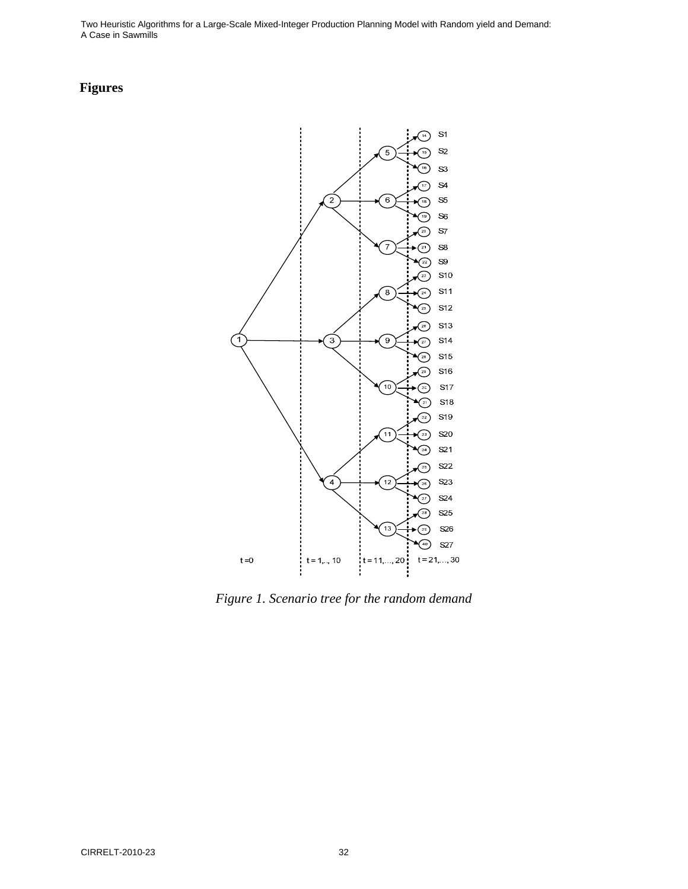# **Figures**



*Figure 1. Scenario tree for the random demand*